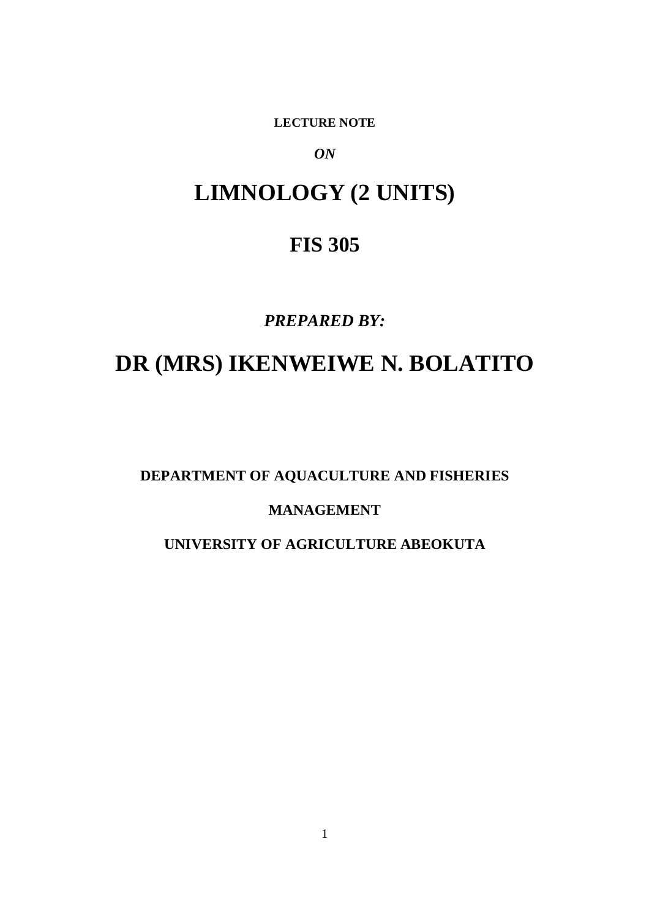**LECTURE NOTE** 

*ON*

# **LIMNOLOGY (2 UNITS)**

### **FIS 305**

### *PREPARED BY:*

# **DR (MRS) IKENWEIWE N. BOLATITO**

**DEPARTMENT OF AQUACULTURE AND FISHERIES** 

### **MANAGEMENT**

### **UNIVERSITY OF AGRICULTURE ABEOKUTA**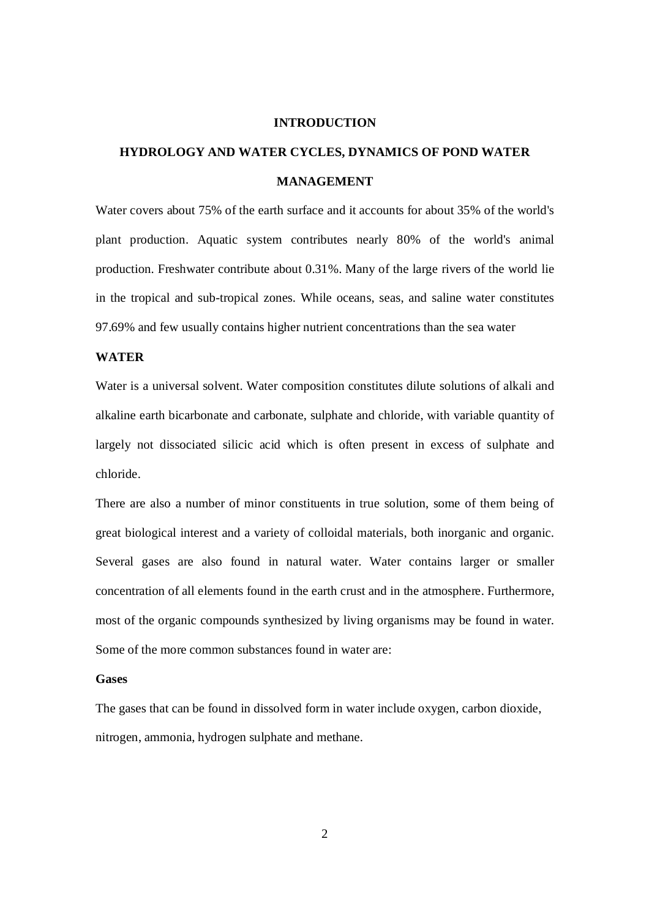#### **INTRODUCTION**

## **HYDROLOGY AND WATER CYCLES, DYNAMICS OF POND WATER MANAGEMENT**

Water covers about 75% of the earth surface and it accounts for about 35% of the world's plant production. Aquatic system contributes nearly 80% of the world's animal production. Freshwater contribute about 0.31%. Many of the large rivers of the world lie in the tropical and sub-tropical zones. While oceans, seas, and saline water constitutes 97.69% and few usually contains higher nutrient concentrations than the sea water

#### **WATER**

Water is a universal solvent. Water composition constitutes dilute solutions of alkali and alkaline earth bicarbonate and carbonate, sulphate and chloride, with variable quantity of largely not dissociated silicic acid which is often present in excess of sulphate and chloride.

There are also a number of minor constituents in true solution, some of them being of great biological interest and a variety of colloidal materials, both inorganic and organic. Several gases are also found in natural water. Water contains larger or smaller concentration of all elements found in the earth crust and in the atmosphere. Furthermore, most of the organic compounds synthesized by living organisms may be found in water. Some of the more common substances found in water are:

#### **Gases**

The gases that can be found in dissolved form in water include oxygen, carbon dioxide, nitrogen, ammonia, hydrogen sulphate and methane.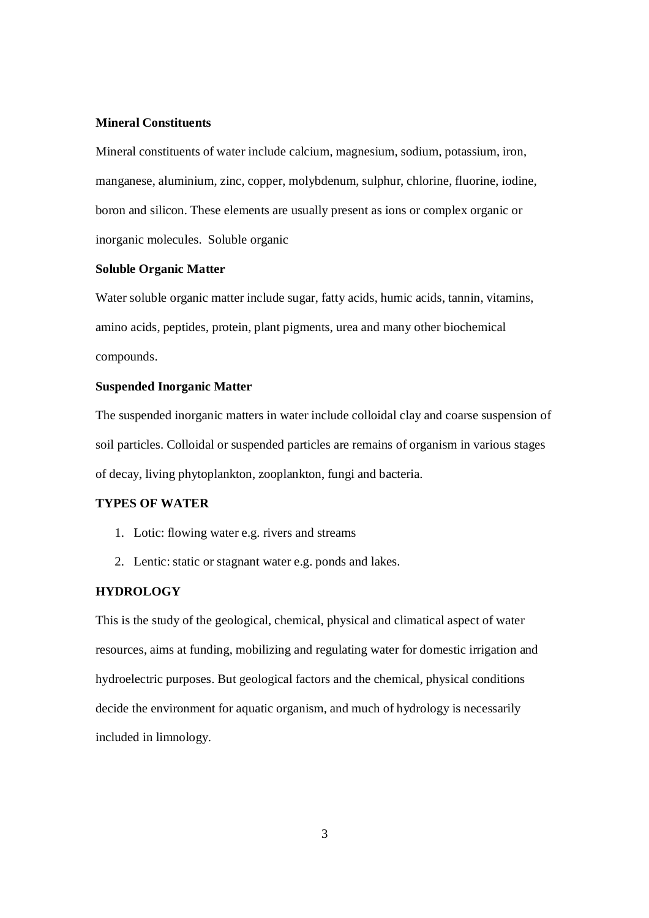#### **Mineral Constituents**

Mineral constituents of water include calcium, magnesium, sodium, potassium, iron, manganese, aluminium, zinc, copper, molybdenum, sulphur, chlorine, fluorine, iodine, boron and silicon. These elements are usually present as ions or complex organic or inorganic molecules. Soluble organic

#### **Soluble Organic Matter**

Water soluble organic matter include sugar, fatty acids, humic acids, tannin, vitamins, amino acids, peptides, protein, plant pigments, urea and many other biochemical compounds.

#### **Suspended Inorganic Matter**

The suspended inorganic matters in water include colloidal clay and coarse suspension of soil particles. Colloidal or suspended particles are remains of organism in various stages of decay, living phytoplankton, zooplankton, fungi and bacteria.

#### **TYPES OF WATER**

- 1. Lotic: flowing water e.g. rivers and streams
- 2. Lentic: static or stagnant water e.g. ponds and lakes.

#### **HYDROLOGY**

This is the study of the geological, chemical, physical and climatical aspect of water resources, aims at funding, mobilizing and regulating water for domestic irrigation and hydroelectric purposes. But geological factors and the chemical, physical conditions decide the environment for aquatic organism, and much of hydrology is necessarily included in limnology.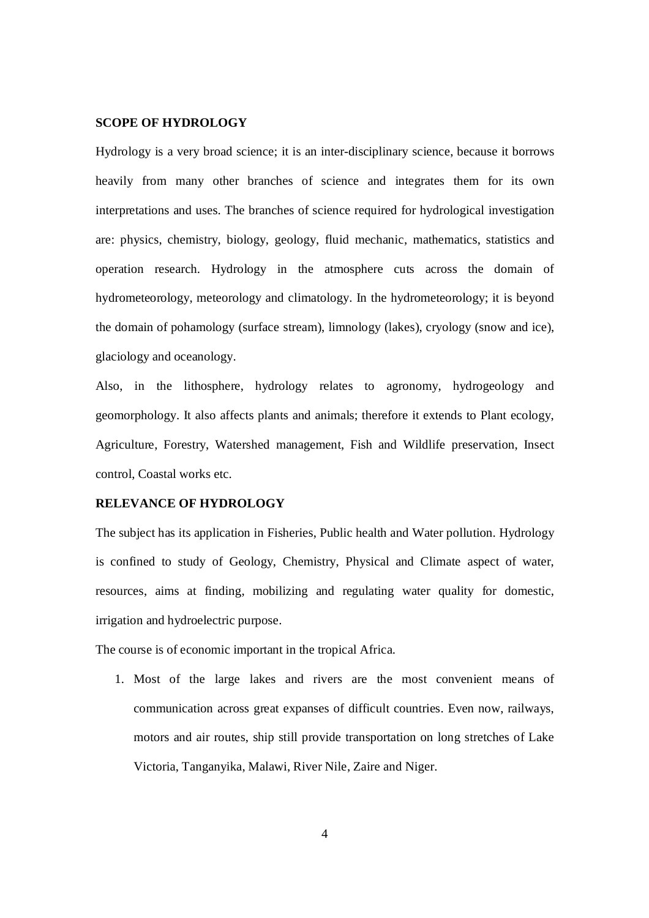#### **SCOPE OF HYDROLOGY**

Hydrology is a very broad science; it is an inter-disciplinary science, because it borrows heavily from many other branches of science and integrates them for its own interpretations and uses. The branches of science required for hydrological investigation are: physics, chemistry, biology, geology, fluid mechanic, mathematics, statistics and operation research. Hydrology in the atmosphere cuts across the domain of hydrometeorology, meteorology and climatology. In the hydrometeorology; it is beyond the domain of pohamology (surface stream), limnology (lakes), cryology (snow and ice), glaciology and oceanology.

Also, in the lithosphere, hydrology relates to agronomy, hydrogeology and geomorphology. It also affects plants and animals; therefore it extends to Plant ecology, Agriculture, Forestry, Watershed management, Fish and Wildlife preservation, Insect control, Coastal works etc.

#### **RELEVANCE OF HYDROLOGY**

The subject has its application in Fisheries, Public health and Water pollution. Hydrology is confined to study of Geology, Chemistry, Physical and Climate aspect of water, resources, aims at finding, mobilizing and regulating water quality for domestic, irrigation and hydroelectric purpose.

The course is of economic important in the tropical Africa.

1. Most of the large lakes and rivers are the most convenient means of communication across great expanses of difficult countries. Even now, railways, motors and air routes, ship still provide transportation on long stretches of Lake Victoria, Tanganyika, Malawi, River Nile, Zaire and Niger.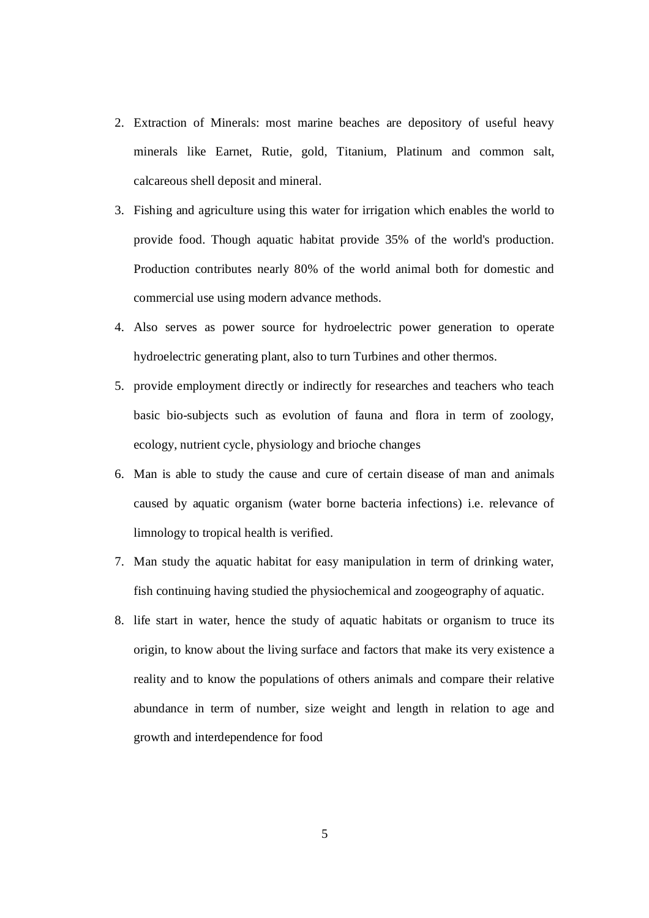- 2. Extraction of Minerals: most marine beaches are depository of useful heavy minerals like Earnet, Rutie, gold, Titanium, Platinum and common salt, calcareous shell deposit and mineral.
- 3. Fishing and agriculture using this water for irrigation which enables the world to provide food. Though aquatic habitat provide 35% of the world's production. Production contributes nearly 80% of the world animal both for domestic and commercial use using modern advance methods.
- 4. Also serves as power source for hydroelectric power generation to operate hydroelectric generating plant, also to turn Turbines and other thermos.
- 5. provide employment directly or indirectly for researches and teachers who teach basic bio-subjects such as evolution of fauna and flora in term of zoology, ecology, nutrient cycle, physiology and brioche changes
- 6. Man is able to study the cause and cure of certain disease of man and animals caused by aquatic organism (water borne bacteria infections) i.e. relevance of limnology to tropical health is verified.
- 7. Man study the aquatic habitat for easy manipulation in term of drinking water, fish continuing having studied the physiochemical and zoogeography of aquatic.
- 8. life start in water, hence the study of aquatic habitats or organism to truce its origin, to know about the living surface and factors that make its very existence a reality and to know the populations of others animals and compare their relative abundance in term of number, size weight and length in relation to age and growth and interdependence for food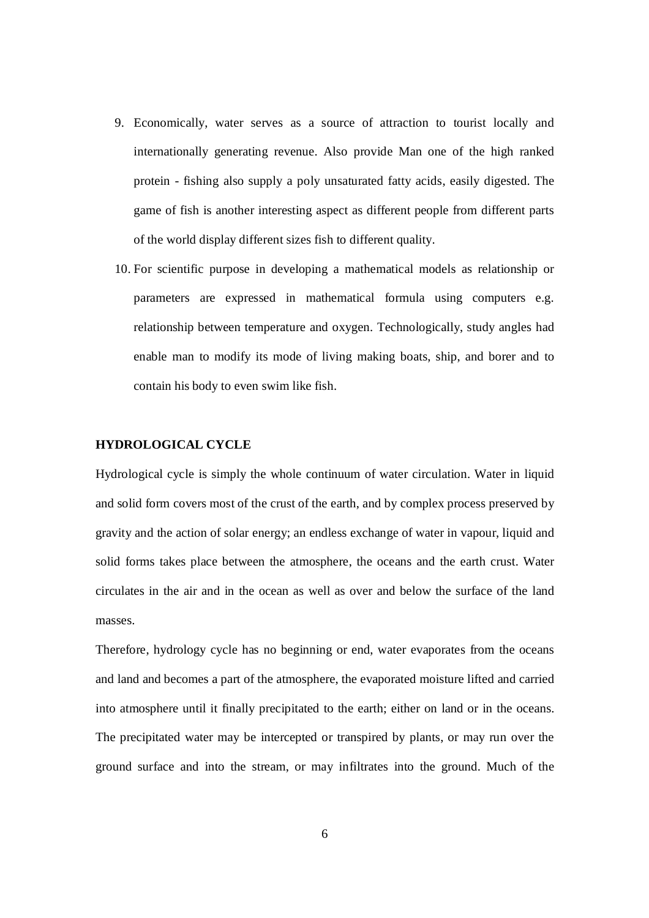- 9. Economically, water serves as a source of attraction to tourist locally and internationally generating revenue. Also provide Man one of the high ranked protein - fishing also supply a poly unsaturated fatty acids, easily digested. The game of fish is another interesting aspect as different people from different parts of the world display different sizes fish to different quality.
- 10. For scientific purpose in developing a mathematical models as relationship or parameters are expressed in mathematical formula using computers e.g. relationship between temperature and oxygen. Technologically, study angles had enable man to modify its mode of living making boats, ship, and borer and to contain his body to even swim like fish.

#### **HYDROLOGICAL CYCLE**

Hydrological cycle is simply the whole continuum of water circulation. Water in liquid and solid form covers most of the crust of the earth, and by complex process preserved by gravity and the action of solar energy; an endless exchange of water in vapour, liquid and solid forms takes place between the atmosphere, the oceans and the earth crust. Water circulates in the air and in the ocean as well as over and below the surface of the land masses.

Therefore, hydrology cycle has no beginning or end, water evaporates from the oceans and land and becomes a part of the atmosphere, the evaporated moisture lifted and carried into atmosphere until it finally precipitated to the earth; either on land or in the oceans. The precipitated water may be intercepted or transpired by plants, or may run over the ground surface and into the stream, or may infiltrates into the ground. Much of the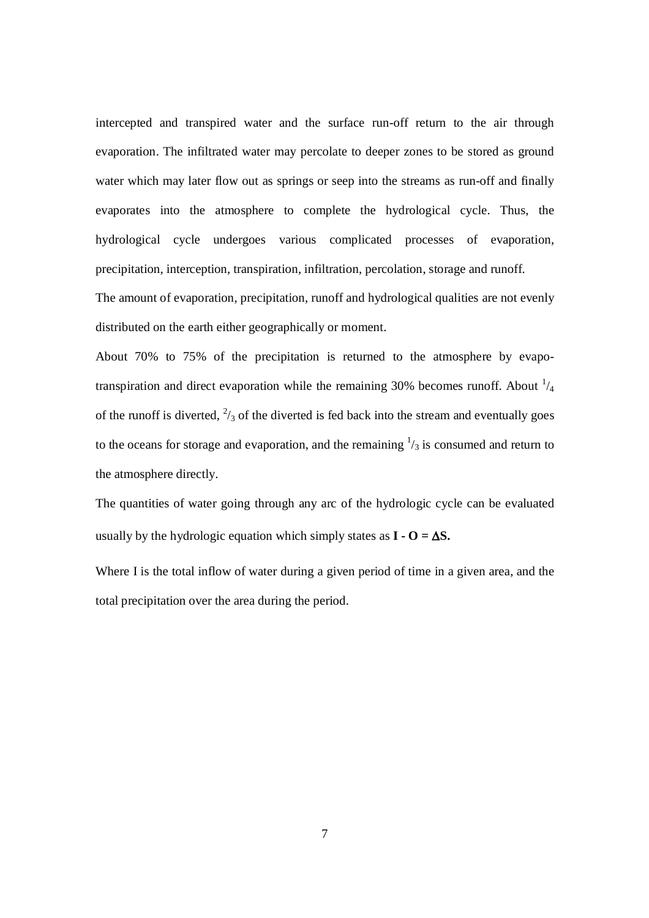intercepted and transpired water and the surface run-off return to the air through evaporation. The infiltrated water may percolate to deeper zones to be stored as ground water which may later flow out as springs or seep into the streams as run-off and finally evaporates into the atmosphere to complete the hydrological cycle. Thus, the hydrological cycle undergoes various complicated processes of evaporation, precipitation, interception, transpiration, infiltration, percolation, storage and runoff. The amount of evaporation, precipitation, runoff and hydrological qualities are not evenly

distributed on the earth either geographically or moment.

About 70% to 75% of the precipitation is returned to the atmosphere by evapotranspiration and direct evaporation while the remaining 30% becomes runoff. About  $\frac{1}{4}$ of the runoff is diverted,  $\frac{2}{3}$  of the diverted is fed back into the stream and eventually goes to the oceans for storage and evaporation, and the remaining  $\frac{1}{3}$  is consumed and return to the atmosphere directly.

The quantities of water going through any arc of the hydrologic cycle can be evaluated usually by the hydrologic equation which simply states as  $I - O = \Delta S$ .

Where I is the total inflow of water during a given period of time in a given area, and the total precipitation over the area during the period.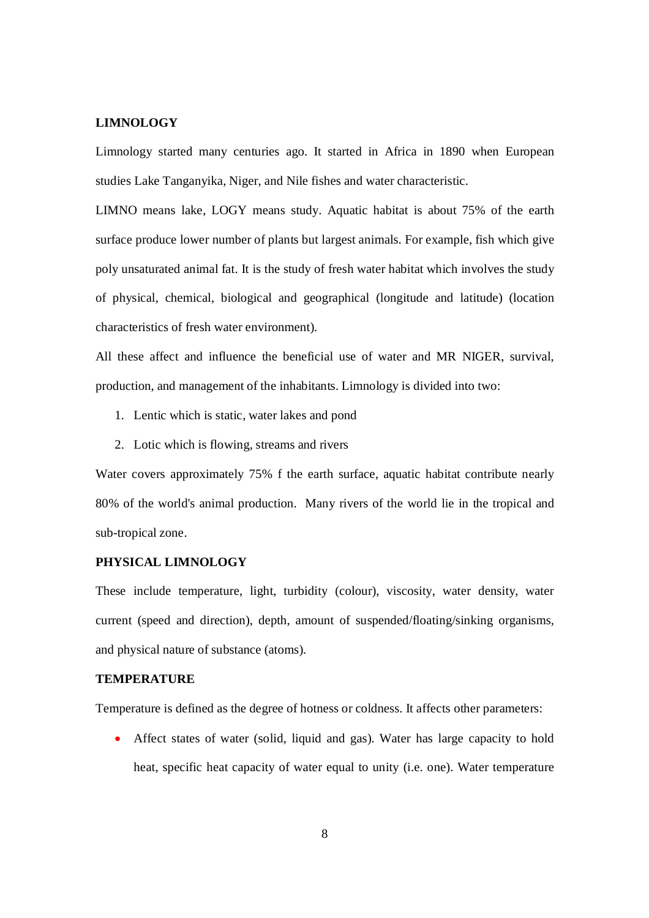#### **LIMNOLOGY**

Limnology started many centuries ago. It started in Africa in 1890 when European studies Lake Tanganyika, Niger, and Nile fishes and water characteristic.

LIMNO means lake, LOGY means study. Aquatic habitat is about 75% of the earth surface produce lower number of plants but largest animals. For example, fish which give poly unsaturated animal fat. It is the study of fresh water habitat which involves the study of physical, chemical, biological and geographical (longitude and latitude) (location characteristics of fresh water environment).

All these affect and influence the beneficial use of water and MR NIGER, survival, production, and management of the inhabitants. Limnology is divided into two:

- 1. Lentic which is static, water lakes and pond
- 2. Lotic which is flowing, streams and rivers

Water covers approximately 75% f the earth surface, aquatic habitat contribute nearly 80% of the world's animal production. Many rivers of the world lie in the tropical and sub-tropical zone.

#### **PHYSICAL LIMNOLOGY**

These include temperature, light, turbidity (colour), viscosity, water density, water current (speed and direction), depth, amount of suspended/floating/sinking organisms, and physical nature of substance (atoms).

#### **TEMPERATURE**

Temperature is defined as the degree of hotness or coldness. It affects other parameters:

 Affect states of water (solid, liquid and gas). Water has large capacity to hold heat, specific heat capacity of water equal to unity (i.e. one). Water temperature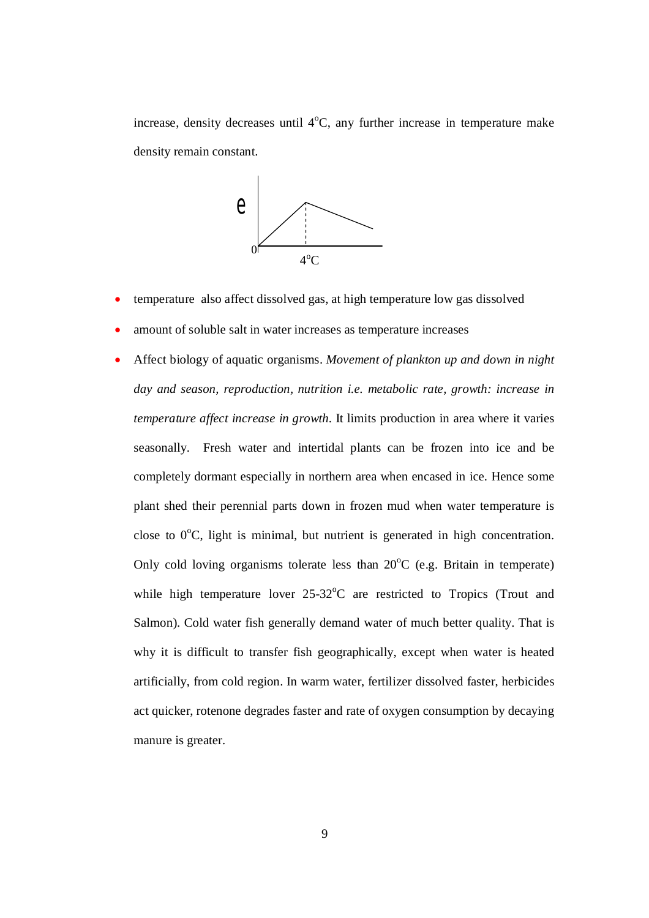increase, density decreases until  $4^{\circ}C$ , any further increase in temperature make density remain constant.



- temperature also affect dissolved gas, at high temperature low gas dissolved
- amount of soluble salt in water increases as temperature increases
- Affect biology of aquatic organisms. *Movement of plankton up and down in night day and season, reproduction, nutrition i.e. metabolic rate, growth: increase in temperature affect increase in growth.* It limits production in area where it varies seasonally. Fresh water and intertidal plants can be frozen into ice and be completely dormant especially in northern area when encased in ice. Hence some plant shed their perennial parts down in frozen mud when water temperature is close to  $0^{\circ}$ C, light is minimal, but nutrient is generated in high concentration. Only cold loving organisms tolerate less than  $20^{\circ}$ C (e.g. Britain in temperate) while high temperature lover  $25{\text -}32^{\circ}\text{C}$  are restricted to Tropics (Trout and Salmon). Cold water fish generally demand water of much better quality. That is why it is difficult to transfer fish geographically, except when water is heated artificially, from cold region. In warm water, fertilizer dissolved faster, herbicides act quicker, rotenone degrades faster and rate of oxygen consumption by decaying manure is greater.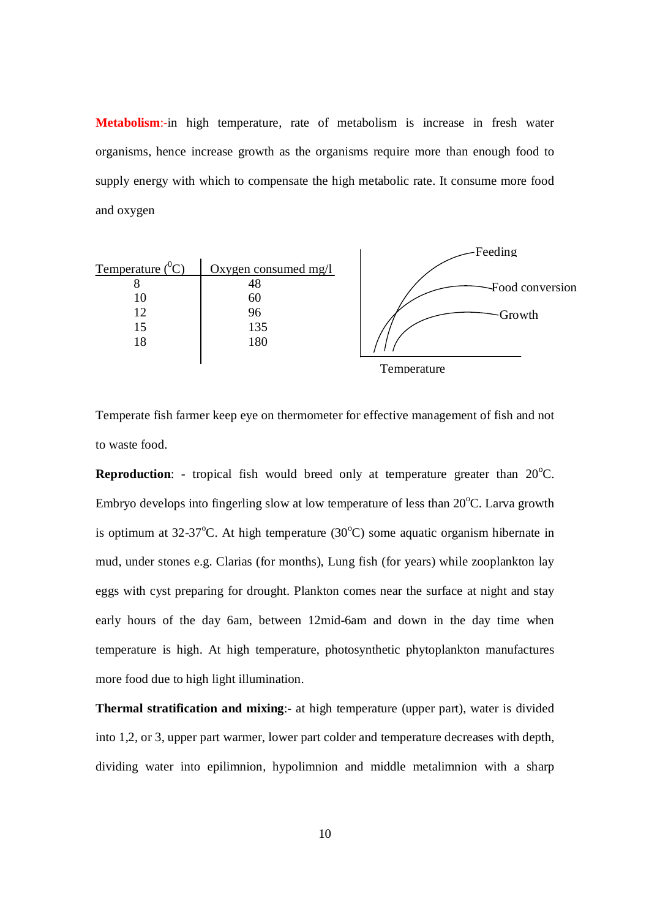**Metabolism**:-in high temperature, rate of metabolism is increase in fresh water organisms, hence increase growth as the organisms require more than enough food to supply energy with which to compensate the high metabolic rate. It consume more food and oxygen



Temperate fish farmer keep eye on thermometer for effective management of fish and not to waste food.

**Reproduction:** - tropical fish would breed only at temperature greater than  $20^{\circ}$ C. Embryo develops into fingerling slow at low temperature of less than  $20^{\circ}$ C. Larva growth is optimum at  $32-37^{\circ}$ C. At high temperature  $(30^{\circ}$ C) some aquatic organism hibernate in mud, under stones e.g. Clarias (for months), Lung fish (for years) while zooplankton lay eggs with cyst preparing for drought. Plankton comes near the surface at night and stay early hours of the day 6am, between 12mid-6am and down in the day time when temperature is high. At high temperature, photosynthetic phytoplankton manufactures more food due to high light illumination.

**Thermal stratification and mixing**:- at high temperature (upper part), water is divided into 1,2, or 3, upper part warmer, lower part colder and temperature decreases with depth, dividing water into epilimnion, hypolimnion and middle metalimnion with a sharp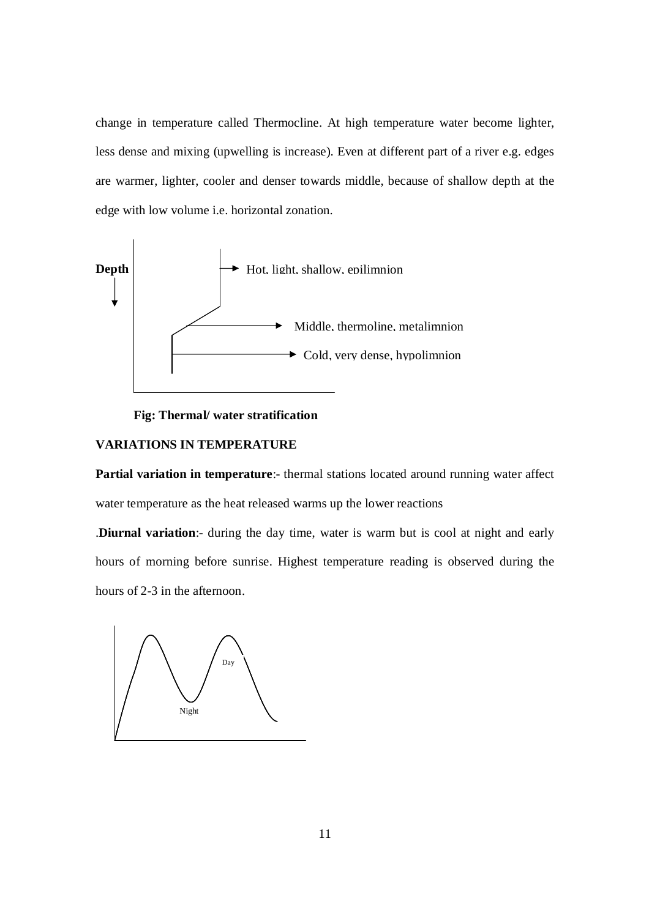change in temperature called Thermocline. At high temperature water become lighter, less dense and mixing (upwelling is increase). Even at different part of a river e.g. edges are warmer, lighter, cooler and denser towards middle, because of shallow depth at the edge with low volume i.e. horizontal zonation.



#### **Fig: Thermal/ water stratification**

#### **VARIATIONS IN TEMPERATURE**

**Partial variation in temperature:**- thermal stations located around running water affect water temperature as the heat released warms up the lower reactions

.**Diurnal variation**:- during the day time, water is warm but is cool at night and early hours of morning before sunrise. Highest temperature reading is observed during the hours of 2-3 in the afternoon.

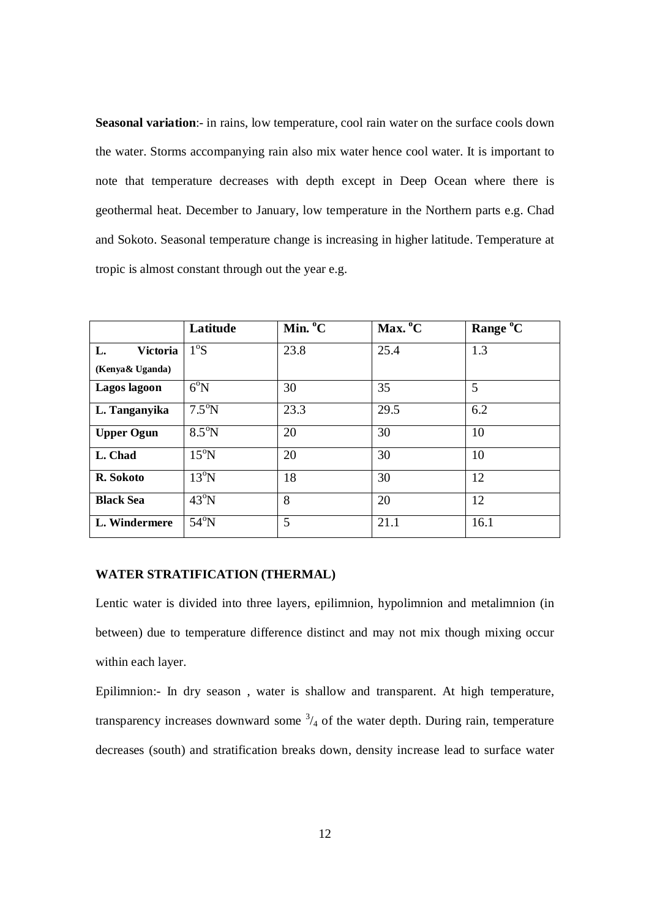**Seasonal variation**:- in rains, low temperature, cool rain water on the surface cools down the water. Storms accompanying rain also mix water hence cool water. It is important to note that temperature decreases with depth except in Deep Ocean where there is geothermal heat. December to January, low temperature in the Northern parts e.g. Chad and Sokoto. Seasonal temperature change is increasing in higher latitude. Temperature at tropic is almost constant through out the year e.g.

|                       | Latitude       | Min. <sup>o</sup> C | Max. °C | Range °C |
|-----------------------|----------------|---------------------|---------|----------|
| L.<br><b>Victoria</b> | $1^\circ$ S    | 23.8                | 25.4    | 1.3      |
| (Kenya& Uganda)       |                |                     |         |          |
| Lagos lagoon          | $6^{\circ}N$   | 30                  | 35      | 5        |
| L. Tanganyika         | $7.5^{\circ}N$ | 23.3                | 29.5    | 6.2      |
| <b>Upper Ogun</b>     | $8.5^{\circ}N$ | 20                  | 30      | 10       |
| L. Chad               | $15^{\circ}$ N | 20                  | 30      | 10       |
| R. Sokoto             | $13^{\circ}$ N | 18                  | 30      | 12       |
| <b>Black Sea</b>      | $43^{\circ}$ N | 8                   | 20      | 12       |
| L. Windermere         | $54^{\circ}$ N | 5                   | 21.1    | 16.1     |

#### **WATER STRATIFICATION (THERMAL)**

Lentic water is divided into three layers, epilimnion, hypolimnion and metalimnion (in between) due to temperature difference distinct and may not mix though mixing occur within each layer.

Epilimnion:- In dry season , water is shallow and transparent. At high temperature, transparency increases downward some  $\frac{3}{4}$  of the water depth. During rain, temperature decreases (south) and stratification breaks down, density increase lead to surface water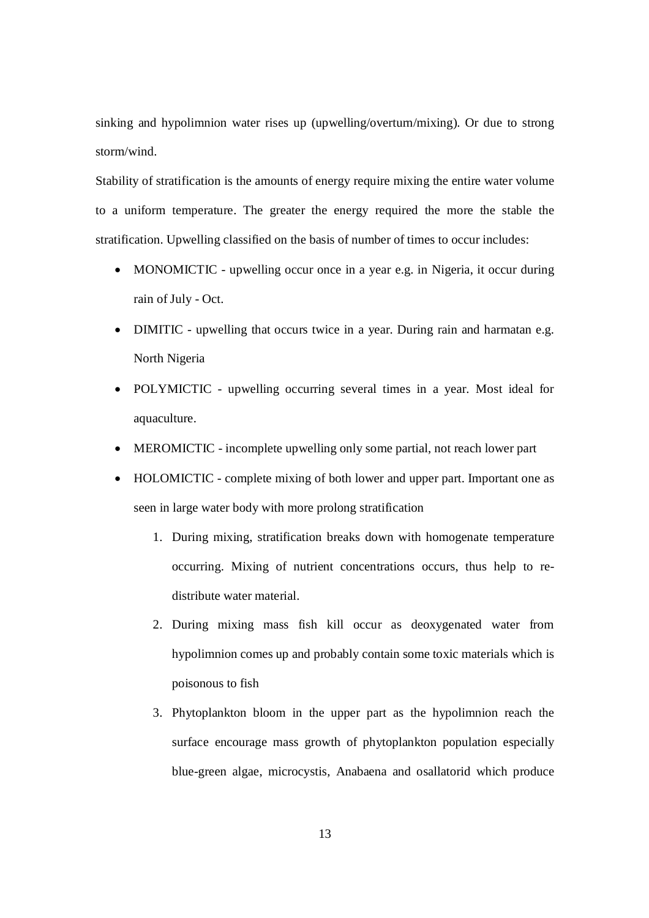sinking and hypolimnion water rises up (upwelling/overturn/mixing). Or due to strong storm/wind.

Stability of stratification is the amounts of energy require mixing the entire water volume to a uniform temperature. The greater the energy required the more the stable the stratification. Upwelling classified on the basis of number of times to occur includes:

- MONOMICTIC upwelling occur once in a year e.g. in Nigeria, it occur during rain of July - Oct.
- DIMITIC upwelling that occurs twice in a year. During rain and harmatan e.g. North Nigeria
- POLYMICTIC upwelling occurring several times in a year. Most ideal for aquaculture.
- MEROMICTIC incomplete upwelling only some partial, not reach lower part
- HOLOMICTIC complete mixing of both lower and upper part. Important one as seen in large water body with more prolong stratification
	- 1. During mixing, stratification breaks down with homogenate temperature occurring. Mixing of nutrient concentrations occurs, thus help to redistribute water material.
	- 2. During mixing mass fish kill occur as deoxygenated water from hypolimnion comes up and probably contain some toxic materials which is poisonous to fish
	- 3. Phytoplankton bloom in the upper part as the hypolimnion reach the surface encourage mass growth of phytoplankton population especially blue-green algae, microcystis, Anabaena and osallatorid which produce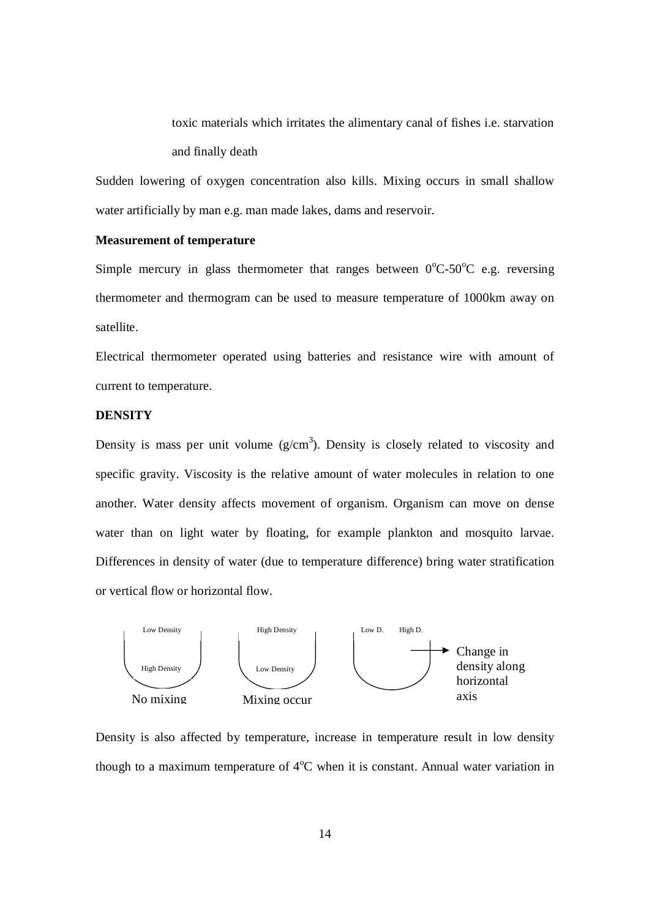toxic materials which irritates the alimentary canal of fishes i.e. starvation and finally death

Sudden lowering of oxygen concentration also kills. Mixing occurs in small shallow water artificially by man e.g. man made lakes, dams and reservoir.

#### **Measurement of temperature**

Simple mercury in glass thermometer that ranges between  $0^{\circ}$ C-50<sup>o</sup>C e.g. reversing thermometer and thermogram can be used to measure temperature of 1000km away on satellite.

Electrical thermometer operated using batteries and resistance wire with amount of current to temperature.

#### **DENSITY**

Density is mass per unit volume  $(g/cm<sup>3</sup>)$ . Density is closely related to viscosity and specific gravity. Viscosity is the relative amount of water molecules in relation to one another. Water density affects movement of organism. Organism can move on dense water than on light water by floating, for example plankton and mosquito larvae. Differences in density of water (due to temperature difference) bring water stratification or vertical flow or horizontal flow.



Density is also affected by temperature, increase in temperature result in low density though to a maximum temperature of  $4^{\circ}C$  when it is constant. Annual water variation in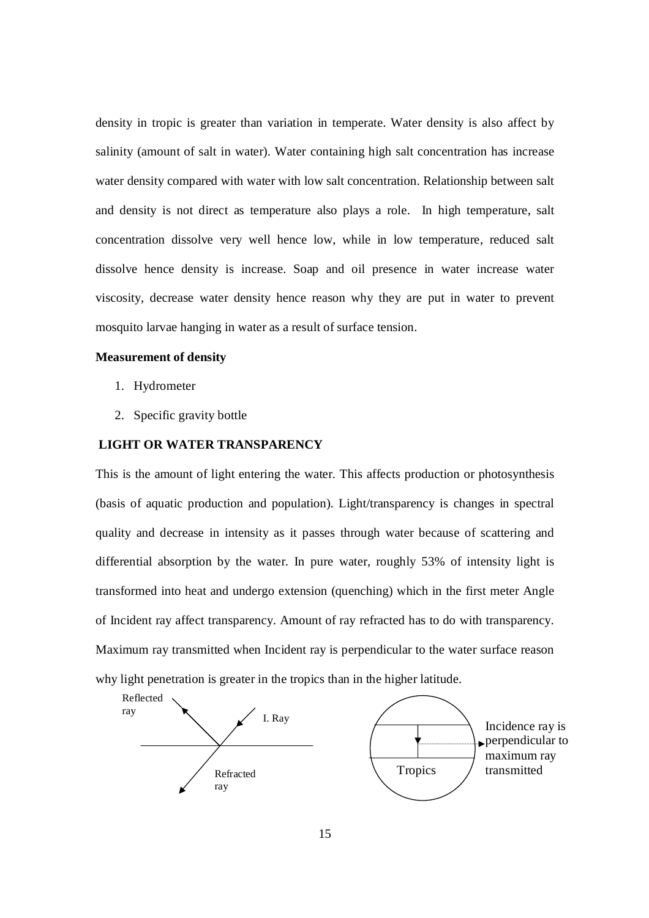density in tropic is greater than variation in temperate. Water density is also affect by salinity (amount of salt in water). Water containing high salt concentration has increase water density compared with water with low salt concentration. Relationship between salt and density is not direct as temperature also plays a role. In high temperature, salt concentration dissolve very well hence low, while in low temperature, reduced salt dissolve hence density is increase. Soap and oil presence in water increase water viscosity, decrease water density hence reason why they are put in water to prevent mosquito larvae hanging in water as a result of surface tension.

#### **Measurement of density**

- 1. Hydrometer
- 2. Specific gravity bottle

#### **LIGHT OR WATER TRANSPARENCY**

This is the amount of light entering the water. This affects production or photosynthesis (basis of aquatic production and population). Light/transparency is changes in spectral quality and decrease in intensity as it passes through water because of scattering and differential absorption by the water. In pure water, roughly 53% of intensity light is transformed into heat and undergo extension (quenching) which in the first meter Angle of Incident ray affect transparency. Amount of ray refracted has to do with transparency. Maximum ray transmitted when Incident ray is perpendicular to the water surface reason why light penetration is greater in the tropics than in the higher latitude.

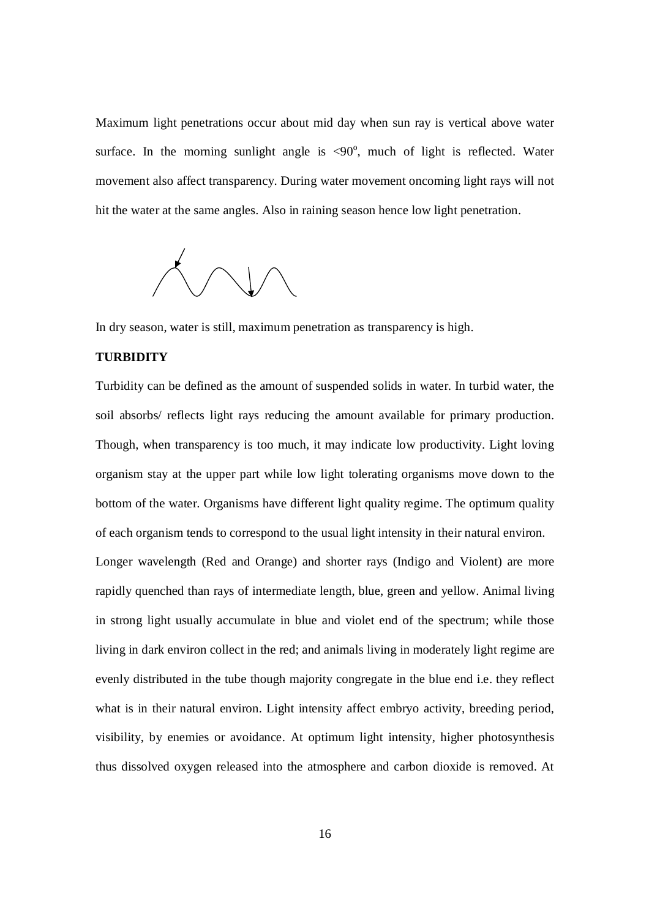Maximum light penetrations occur about mid day when sun ray is vertical above water surface. In the morning sunlight angle is  $\langle 90^\circ,$  much of light is reflected. Water movement also affect transparency. During water movement oncoming light rays will not hit the water at the same angles. Also in raining season hence low light penetration.



In dry season, water is still, maximum penetration as transparency is high.

#### **TURBIDITY**

Turbidity can be defined as the amount of suspended solids in water. In turbid water, the soil absorbs/ reflects light rays reducing the amount available for primary production. Though, when transparency is too much, it may indicate low productivity. Light loving organism stay at the upper part while low light tolerating organisms move down to the bottom of the water. Organisms have different light quality regime. The optimum quality of each organism tends to correspond to the usual light intensity in their natural environ. Longer wavelength (Red and Orange) and shorter rays (Indigo and Violent) are more rapidly quenched than rays of intermediate length, blue, green and yellow. Animal living in strong light usually accumulate in blue and violet end of the spectrum; while those living in dark environ collect in the red; and animals living in moderately light regime are evenly distributed in the tube though majority congregate in the blue end i.e. they reflect what is in their natural environ. Light intensity affect embryo activity, breeding period, visibility, by enemies or avoidance. At optimum light intensity, higher photosynthesis thus dissolved oxygen released into the atmosphere and carbon dioxide is removed. At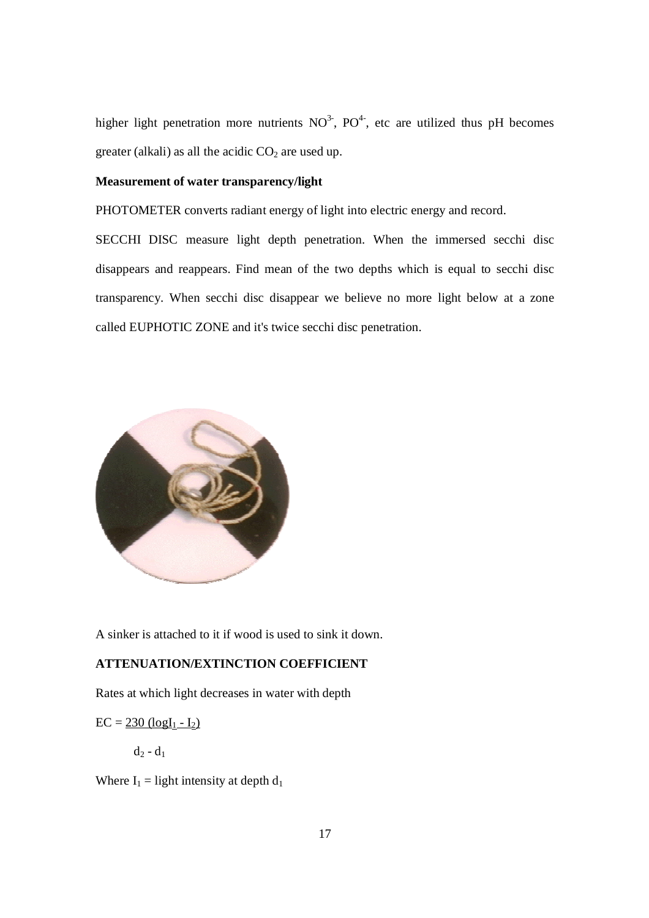higher light penetration more nutrients  $NO<sup>3</sup>$ , PO<sup>4</sup>, etc are utilized thus pH becomes greater (alkali) as all the acidic  $CO<sub>2</sub>$  are used up.

#### **Measurement of water transparency/light**

PHOTOMETER converts radiant energy of light into electric energy and record.

SECCHI DISC measure light depth penetration. When the immersed secchi disc disappears and reappears. Find mean of the two depths which is equal to secchi disc transparency. When secchi disc disappear we believe no more light below at a zone called EUPHOTIC ZONE and it's twice secchi disc penetration.



A sinker is attached to it if wood is used to sink it down.

#### **ATTENUATION/EXTINCTION COEFFICIENT**

Rates at which light decreases in water with depth

 $EC = 230$  (log[ $_1 - I_2$ )

 $d_2 - d_1$ 

Where  $I_1 =$  light intensity at depth  $d_1$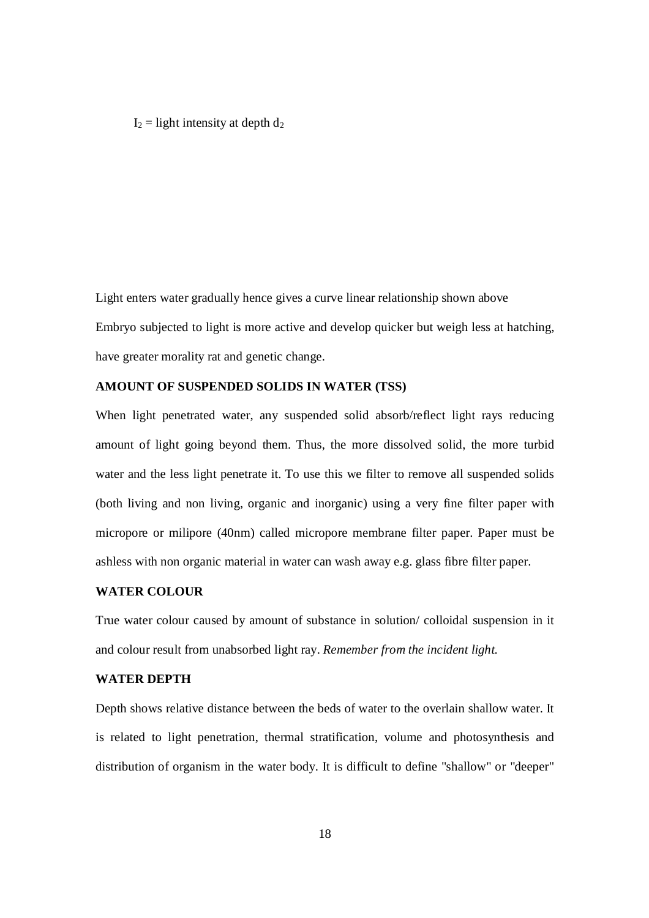$I_2$  = light intensity at depth  $d_2$ 

Light enters water gradually hence gives a curve linear relationship shown above Embryo subjected to light is more active and develop quicker but weigh less at hatching, have greater morality rat and genetic change.

#### **AMOUNT OF SUSPENDED SOLIDS IN WATER (TSS)**

When light penetrated water, any suspended solid absorb/reflect light rays reducing amount of light going beyond them. Thus, the more dissolved solid, the more turbid water and the less light penetrate it. To use this we filter to remove all suspended solids (both living and non living, organic and inorganic) using a very fine filter paper with micropore or milipore (40nm) called micropore membrane filter paper. Paper must be ashless with non organic material in water can wash away e.g. glass fibre filter paper.

#### **WATER COLOUR**

True water colour caused by amount of substance in solution/ colloidal suspension in it and colour result from unabsorbed light ray. *Remember from the incident light.*

#### **WATER DEPTH**

Depth shows relative distance between the beds of water to the overlain shallow water. It is related to light penetration, thermal stratification, volume and photosynthesis and distribution of organism in the water body. It is difficult to define "shallow" or "deeper"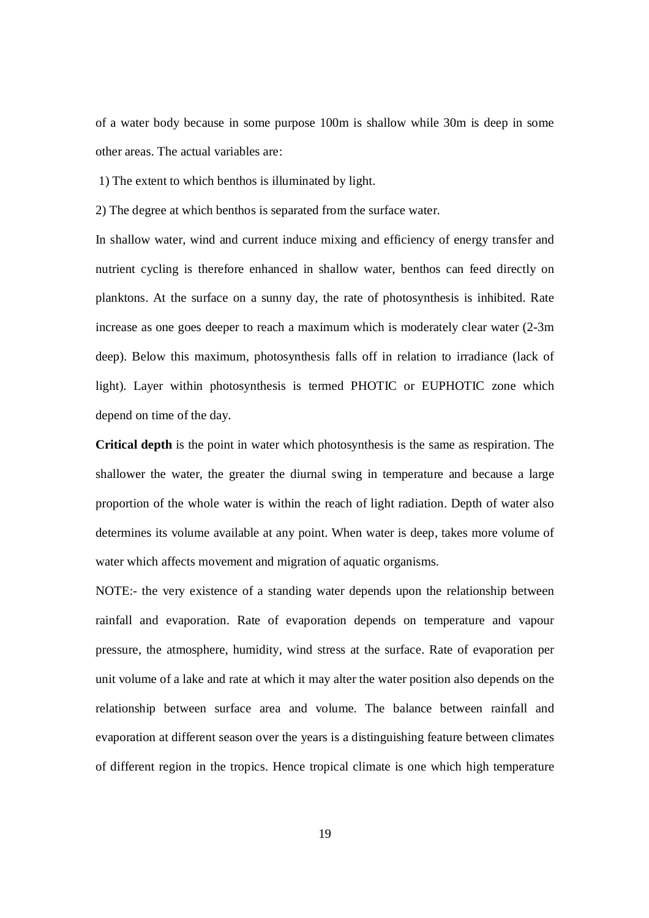of a water body because in some purpose 100m is shallow while 30m is deep in some other areas. The actual variables are:

1) The extent to which benthos is illuminated by light.

2) The degree at which benthos is separated from the surface water.

In shallow water, wind and current induce mixing and efficiency of energy transfer and nutrient cycling is therefore enhanced in shallow water, benthos can feed directly on planktons. At the surface on a sunny day, the rate of photosynthesis is inhibited. Rate increase as one goes deeper to reach a maximum which is moderately clear water (2-3m deep). Below this maximum, photosynthesis falls off in relation to irradiance (lack of light). Layer within photosynthesis is termed PHOTIC or EUPHOTIC zone which depend on time of the day.

**Critical depth** is the point in water which photosynthesis is the same as respiration. The shallower the water, the greater the diurnal swing in temperature and because a large proportion of the whole water is within the reach of light radiation. Depth of water also determines its volume available at any point. When water is deep, takes more volume of water which affects movement and migration of aquatic organisms.

NOTE:- the very existence of a standing water depends upon the relationship between rainfall and evaporation. Rate of evaporation depends on temperature and vapour pressure, the atmosphere, humidity, wind stress at the surface. Rate of evaporation per unit volume of a lake and rate at which it may alter the water position also depends on the relationship between surface area and volume. The balance between rainfall and evaporation at different season over the years is a distinguishing feature between climates of different region in the tropics. Hence tropical climate is one which high temperature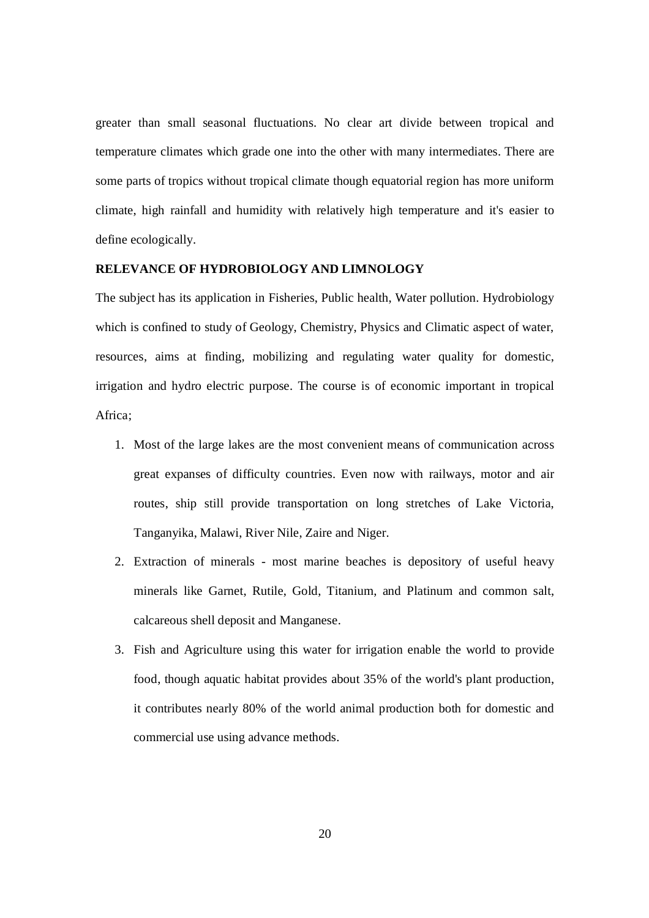greater than small seasonal fluctuations. No clear art divide between tropical and temperature climates which grade one into the other with many intermediates. There are some parts of tropics without tropical climate though equatorial region has more uniform climate, high rainfall and humidity with relatively high temperature and it's easier to define ecologically.

#### **RELEVANCE OF HYDROBIOLOGY AND LIMNOLOGY**

The subject has its application in Fisheries, Public health, Water pollution. Hydrobiology which is confined to study of Geology, Chemistry, Physics and Climatic aspect of water, resources, aims at finding, mobilizing and regulating water quality for domestic, irrigation and hydro electric purpose. The course is of economic important in tropical Africa;

- 1. Most of the large lakes are the most convenient means of communication across great expanses of difficulty countries. Even now with railways, motor and air routes, ship still provide transportation on long stretches of Lake Victoria, Tanganyika, Malawi, River Nile, Zaire and Niger.
- 2. Extraction of minerals most marine beaches is depository of useful heavy minerals like Garnet, Rutile, Gold, Titanium, and Platinum and common salt, calcareous shell deposit and Manganese.
- 3. Fish and Agriculture using this water for irrigation enable the world to provide food, though aquatic habitat provides about 35% of the world's plant production, it contributes nearly 80% of the world animal production both for domestic and commercial use using advance methods.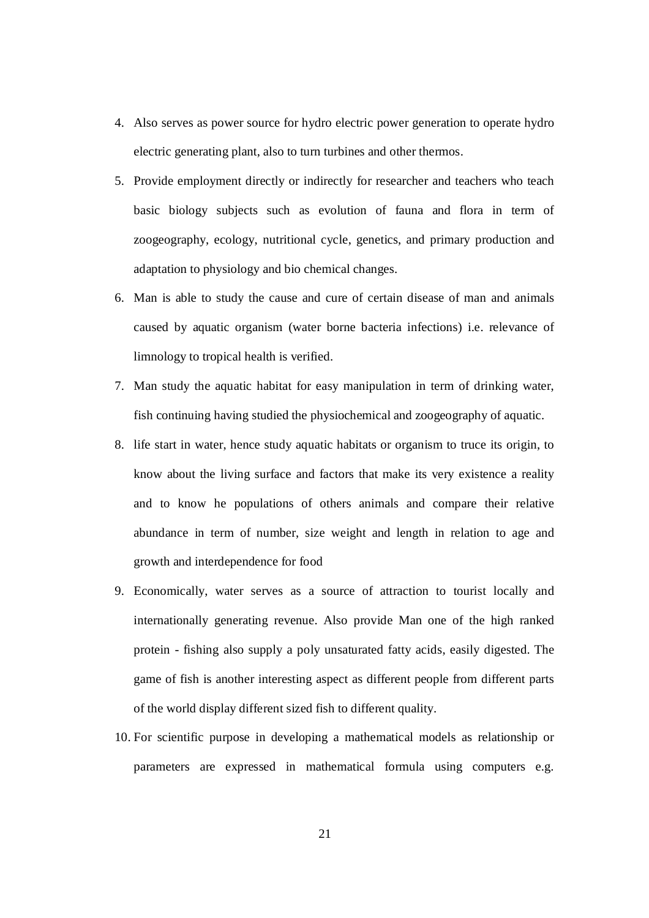- 4. Also serves as power source for hydro electric power generation to operate hydro electric generating plant, also to turn turbines and other thermos.
- 5. Provide employment directly or indirectly for researcher and teachers who teach basic biology subjects such as evolution of fauna and flora in term of zoogeography, ecology, nutritional cycle, genetics, and primary production and adaptation to physiology and bio chemical changes.
- 6. Man is able to study the cause and cure of certain disease of man and animals caused by aquatic organism (water borne bacteria infections) i.e. relevance of limnology to tropical health is verified.
- 7. Man study the aquatic habitat for easy manipulation in term of drinking water, fish continuing having studied the physiochemical and zoogeography of aquatic.
- 8. life start in water, hence study aquatic habitats or organism to truce its origin, to know about the living surface and factors that make its very existence a reality and to know he populations of others animals and compare their relative abundance in term of number, size weight and length in relation to age and growth and interdependence for food
- 9. Economically, water serves as a source of attraction to tourist locally and internationally generating revenue. Also provide Man one of the high ranked protein - fishing also supply a poly unsaturated fatty acids, easily digested. The game of fish is another interesting aspect as different people from different parts of the world display different sized fish to different quality.
- 10. For scientific purpose in developing a mathematical models as relationship or parameters are expressed in mathematical formula using computers e.g.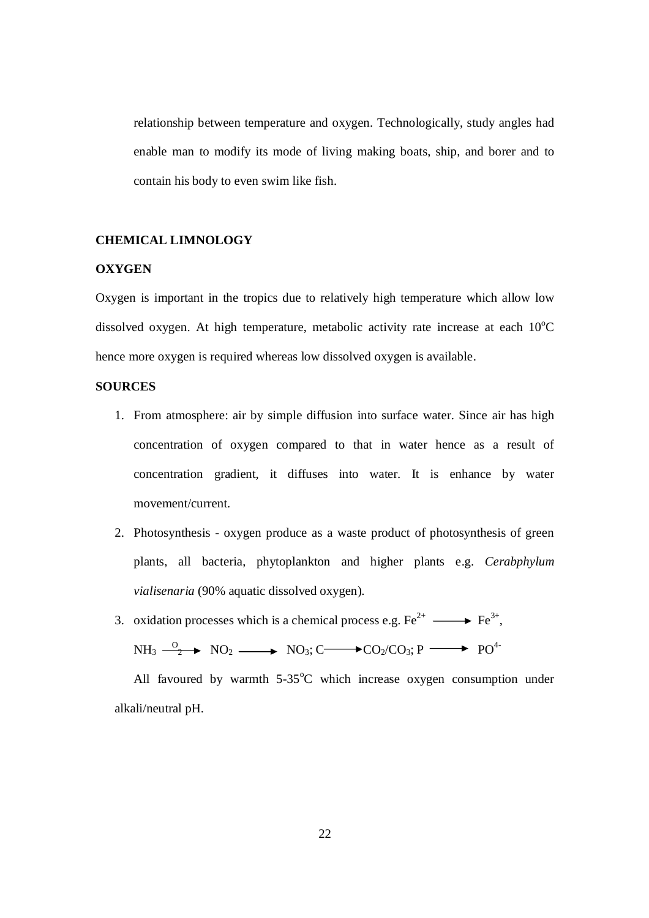relationship between temperature and oxygen. Technologically, study angles had enable man to modify its mode of living making boats, ship, and borer and to contain his body to even swim like fish.

#### **CHEMICAL LIMNOLOGY**

#### **OXYGEN**

Oxygen is important in the tropics due to relatively high temperature which allow low dissolved oxygen. At high temperature, metabolic activity rate increase at each  $10^{\circ}$ C hence more oxygen is required whereas low dissolved oxygen is available.

#### **SOURCES**

- 1. From atmosphere: air by simple diffusion into surface water. Since air has high concentration of oxygen compared to that in water hence as a result of concentration gradient, it diffuses into water. It is enhance by water movement/current.
- 2. Photosynthesis oxygen produce as a waste product of photosynthesis of green plants, all bacteria, phytoplankton and higher plants e.g. *Cerabphylum vialisenaria* (90% aquatic dissolved oxygen).
- 3. oxidation processes which is a chemical process e.g.  $\text{Fe}^{2+} \longrightarrow \text{Fe}^{3+}$ ,

$$
NH_3 \xrightarrow{0} NO_2 \longrightarrow NO_3; C \longrightarrow CO_2/CO_3; P \longrightarrow PO^{4-}
$$

All favoured by warmth  $5\text{-}35^{\circ}\text{C}$  which increase oxygen consumption under alkali/neutral pH.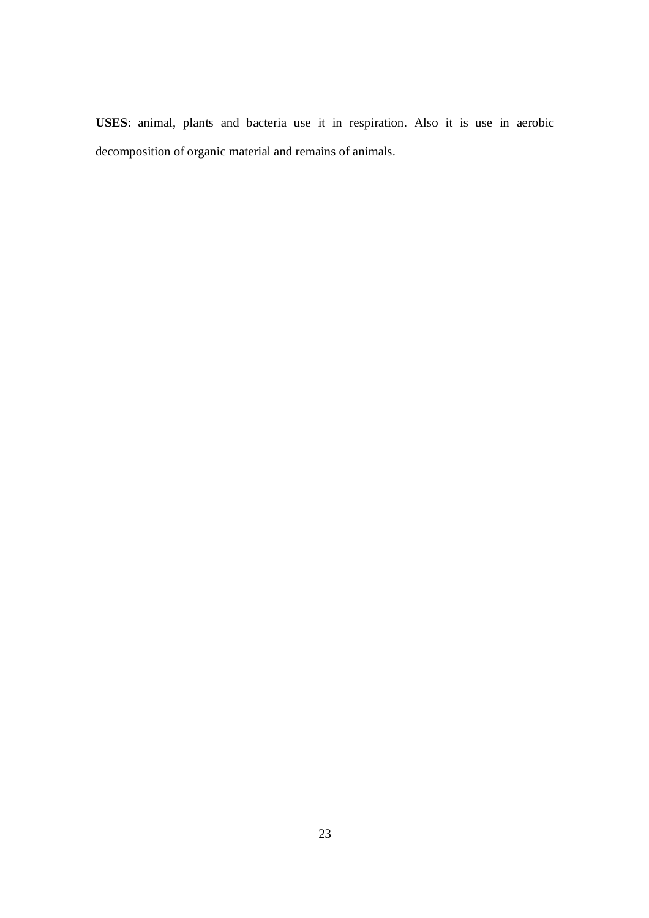**USES**: animal, plants and bacteria use it in respiration. Also it is use in aerobic decomposition of organic material and remains of animals.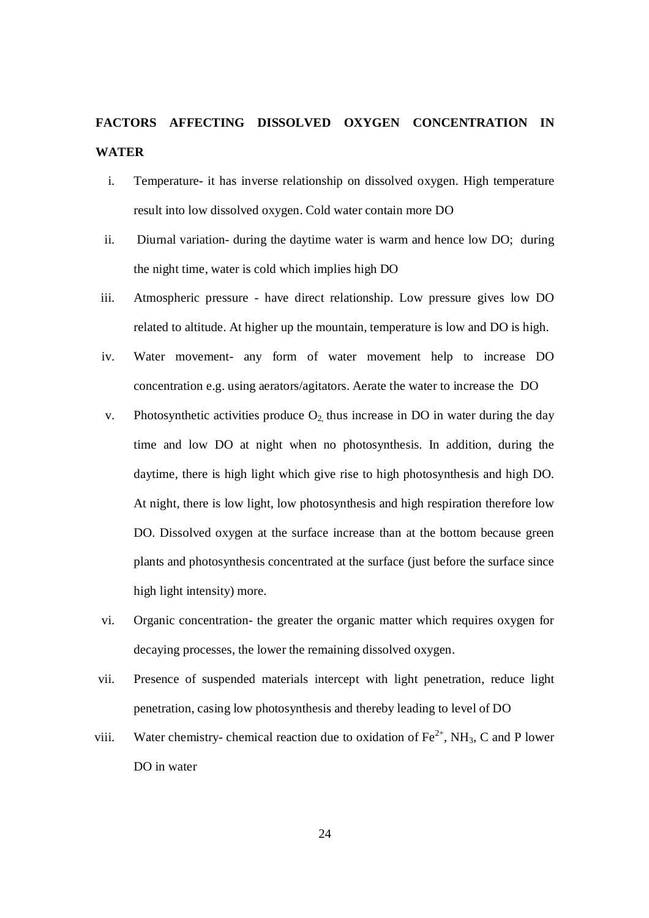## **FACTORS AFFECTING DISSOLVED OXYGEN CONCENTRATION IN WATER**

- i. Temperature- it has inverse relationship on dissolved oxygen. High temperature result into low dissolved oxygen. Cold water contain more DO
- ii. Diurnal variation- during the daytime water is warm and hence low DO; during the night time, water is cold which implies high DO
- iii. Atmospheric pressure have direct relationship. Low pressure gives low DO related to altitude. At higher up the mountain, temperature is low and DO is high.
- iv. Water movement- any form of water movement help to increase DO concentration e.g. using aerators/agitators. Aerate the water to increase the DO
- v. Photosynthetic activities produce  $O_2$  thus increase in DO in water during the day time and low DO at night when no photosynthesis. In addition, during the daytime, there is high light which give rise to high photosynthesis and high DO. At night, there is low light, low photosynthesis and high respiration therefore low DO. Dissolved oxygen at the surface increase than at the bottom because green plants and photosynthesis concentrated at the surface (just before the surface since high light intensity) more.
- vi. Organic concentration- the greater the organic matter which requires oxygen for decaying processes, the lower the remaining dissolved oxygen.
- vii. Presence of suspended materials intercept with light penetration, reduce light penetration, casing low photosynthesis and thereby leading to level of DO
- viii. Water chemistry- chemical reaction due to oxidation of  $\text{Fe}^{2+}$ , NH<sub>3</sub>, C and P lower DO in water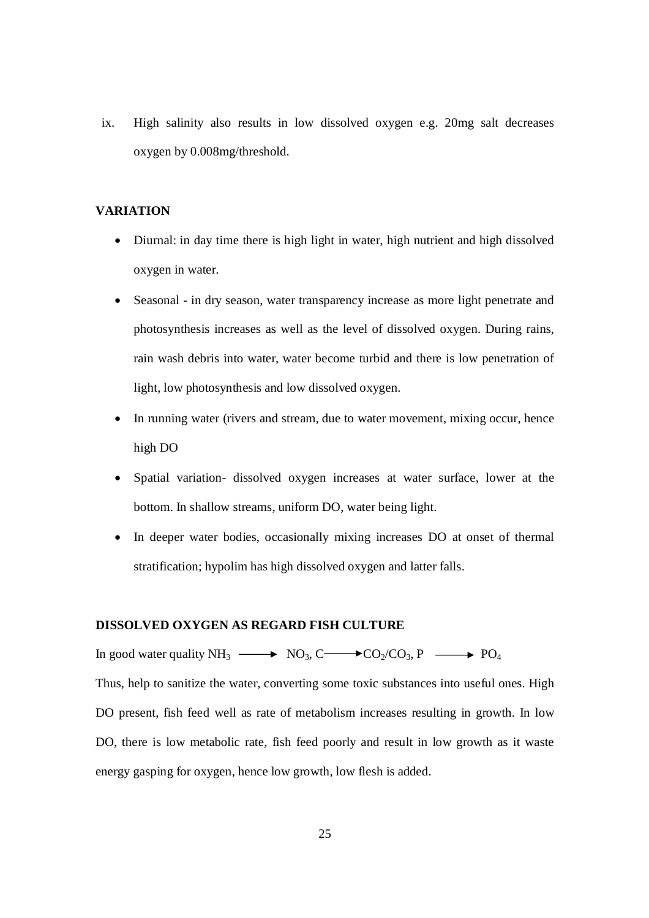ix. High salinity also results in low dissolved oxygen e.g. 20mg salt decreases oxygen by 0.008mg/threshold.

#### **VARIATION**

- Diurnal: in day time there is high light in water, high nutrient and high dissolved oxygen in water.
- Seasonal in dry season, water transparency increase as more light penetrate and photosynthesis increases as well as the level of dissolved oxygen. During rains, rain wash debris into water, water become turbid and there is low penetration of light, low photosynthesis and low dissolved oxygen.
- In running water (rivers and stream, due to water movement, mixing occur, hence high DO
- Spatial variation- dissolved oxygen increases at water surface, lower at the bottom. In shallow streams, uniform DO, water being light.
- In deeper water bodies, occasionally mixing increases DO at onset of thermal stratification; hypolim has high dissolved oxygen and latter falls.

#### **DISSOLVED OXYGEN AS REGARD FISH CULTURE**

In good water quality  $NH_3 \longrightarrow NO_3$ , C $\longrightarrow CO_2/CO_3$ , P  $\longrightarrow PO_4$ Thus, help to sanitize the water, converting some toxic substances into useful ones. High DO present, fish feed well as rate of metabolism increases resulting in growth. In low DO, there is low metabolic rate, fish feed poorly and result in low growth as it waste energy gasping for oxygen, hence low growth, low flesh is added.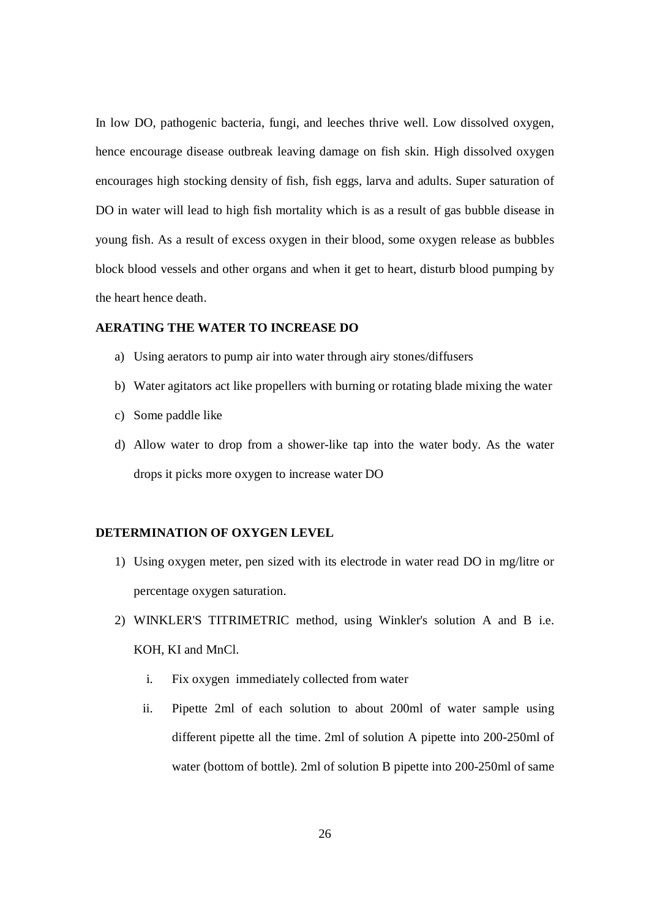In low DO, pathogenic bacteria, fungi, and leeches thrive well. Low dissolved oxygen, hence encourage disease outbreak leaving damage on fish skin. High dissolved oxygen encourages high stocking density of fish, fish eggs, larva and adults. Super saturation of DO in water will lead to high fish mortality which is as a result of gas bubble disease in young fish. As a result of excess oxygen in their blood, some oxygen release as bubbles block blood vessels and other organs and when it get to heart, disturb blood pumping by the heart hence death.

#### **AERATING THE WATER TO INCREASE DO**

- a) Using aerators to pump air into water through airy stones/diffusers
- b) Water agitators act like propellers with burning or rotating blade mixing the water
- c) Some paddle like
- d) Allow water to drop from a shower-like tap into the water body. As the water drops it picks more oxygen to increase water DO

#### **DETERMINATION OF OXYGEN LEVEL**

- 1) Using oxygen meter, pen sized with its electrode in water read DO in mg/litre or percentage oxygen saturation.
- 2) WINKLER'S TITRIMETRIC method, using Winkler's solution A and B i.e. KOH, KI and MnCl.
	- i. Fix oxygen immediately collected from water
	- ii. Pipette 2ml of each solution to about 200ml of water sample using different pipette all the time. 2ml of solution A pipette into 200-250ml of water (bottom of bottle). 2ml of solution B pipette into 200-250ml of same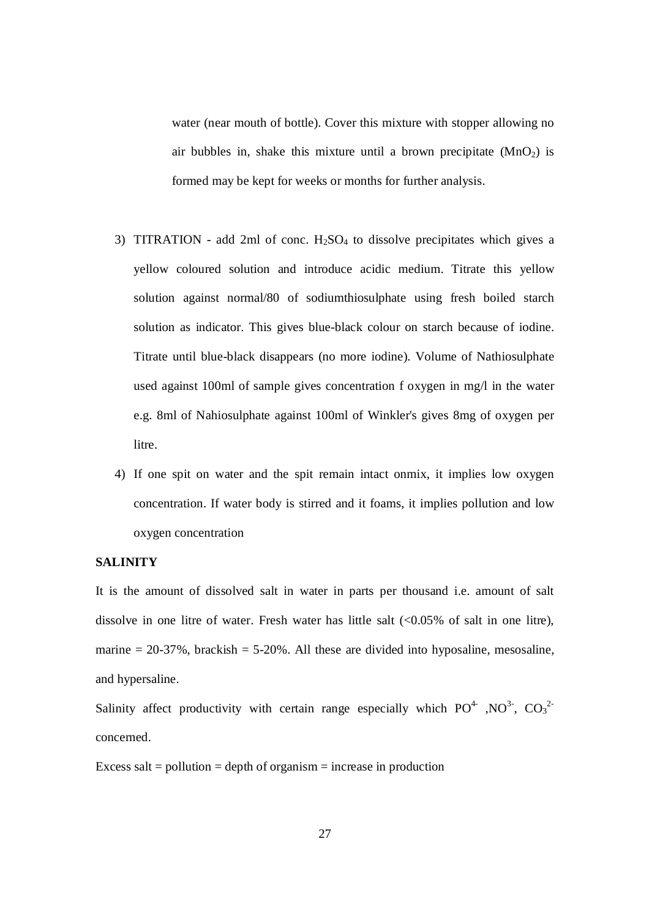water (near mouth of bottle). Cover this mixture with stopper allowing no air bubbles in, shake this mixture until a brown precipitate  $(MnO<sub>2</sub>)$  is formed may be kept for weeks or months for further analysis.

- 3) TITRATION add 2ml of conc.  $H_2SO_4$  to dissolve precipitates which gives a yellow coloured solution and introduce acidic medium. Titrate this yellow solution against normal/80 of sodiumthiosulphate using fresh boiled starch solution as indicator. This gives blue-black colour on starch because of iodine. Titrate until blue-black disappears (no more iodine). Volume of Nathiosulphate used against 100ml of sample gives concentration f oxygen in mg/l in the water e.g. 8ml of Nahiosulphate against 100ml of Winkler's gives 8mg of oxygen per litre.
- 4) If one spit on water and the spit remain intact onmix, it implies low oxygen concentration. If water body is stirred and it foams, it implies pollution and low oxygen concentration

#### **SALINITY**

It is the amount of dissolved salt in water in parts per thousand i.e. amount of salt dissolve in one litre of water. Fresh water has little salt  $\langle 0.05\%$  of salt in one litre), marine  $= 20-37\%$ , brackish  $= 5-20\%$ . All these are divided into hyposaline, mesosaline, and hypersaline.

Salinity affect productivity with certain range especially which  $PO^4$ ,  $NO^3$ ,  $CO_3^2$ concerned.

Excess salt = pollution = depth of organism = increase in production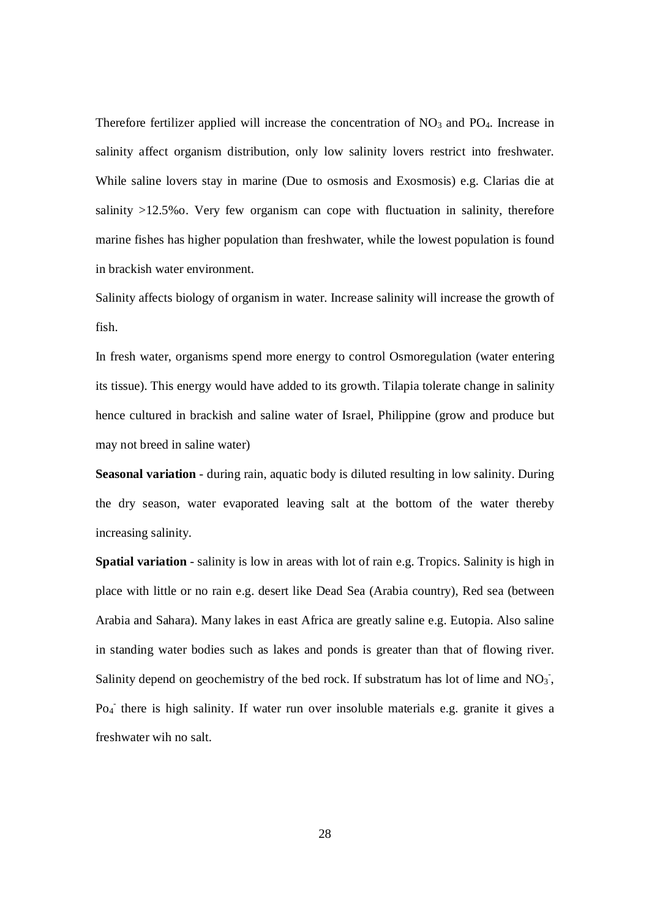Therefore fertilizer applied will increase the concentration of  $NO<sub>3</sub>$  and  $PO<sub>4</sub>$ . Increase in salinity affect organism distribution, only low salinity lovers restrict into freshwater. While saline lovers stay in marine (Due to osmosis and Exosmosis) e.g. Clarias die at salinity >12.5%o. Very few organism can cope with fluctuation in salinity, therefore marine fishes has higher population than freshwater, while the lowest population is found in brackish water environment.

Salinity affects biology of organism in water. Increase salinity will increase the growth of fish.

In fresh water, organisms spend more energy to control Osmoregulation (water entering its tissue). This energy would have added to its growth. Tilapia tolerate change in salinity hence cultured in brackish and saline water of Israel, Philippine (grow and produce but may not breed in saline water)

**Seasonal variation** - during rain, aquatic body is diluted resulting in low salinity. During the dry season, water evaporated leaving salt at the bottom of the water thereby increasing salinity.

**Spatial variation** - salinity is low in areas with lot of rain e.g. Tropics. Salinity is high in place with little or no rain e.g. desert like Dead Sea (Arabia country), Red sea (between Arabia and Sahara). Many lakes in east Africa are greatly saline e.g. Eutopia. Also saline in standing water bodies such as lakes and ponds is greater than that of flowing river. Salinity depend on geochemistry of the bed rock. If substratum has lot of lime and  $NO<sub>3</sub>$ , Po<sub>4</sub> there is high salinity. If water run over insoluble materials e.g. granite it gives a freshwater wih no salt.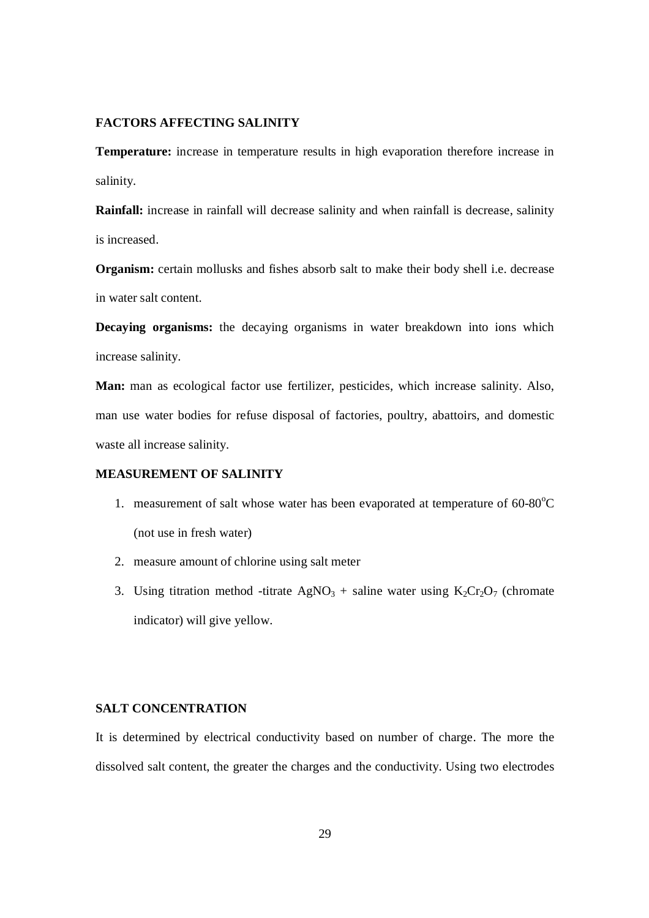#### **FACTORS AFFECTING SALINITY**

**Temperature:** increase in temperature results in high evaporation therefore increase in salinity.

**Rainfall:** increase in rainfall will decrease salinity and when rainfall is decrease, salinity is increased.

**Organism:** certain mollusks and fishes absorb salt to make their body shell i.e. decrease in water salt content.

**Decaying organisms:** the decaying organisms in water breakdown into ions which increase salinity.

**Man:** man as ecological factor use fertilizer, pesticides, which increase salinity. Also, man use water bodies for refuse disposal of factories, poultry, abattoirs, and domestic waste all increase salinity.

#### **MEASUREMENT OF SALINITY**

- 1. measurement of salt whose water has been evaporated at temperature of  $60-80^{\circ}$ C (not use in fresh water)
- 2. measure amount of chlorine using salt meter
- 3. Using titration method -titrate  $AgNO<sub>3</sub> + saline water using K<sub>2</sub>Cr<sub>2</sub>O<sub>7</sub> (chromate)$ indicator) will give yellow.

#### **SALT CONCENTRATION**

It is determined by electrical conductivity based on number of charge. The more the dissolved salt content, the greater the charges and the conductivity. Using two electrodes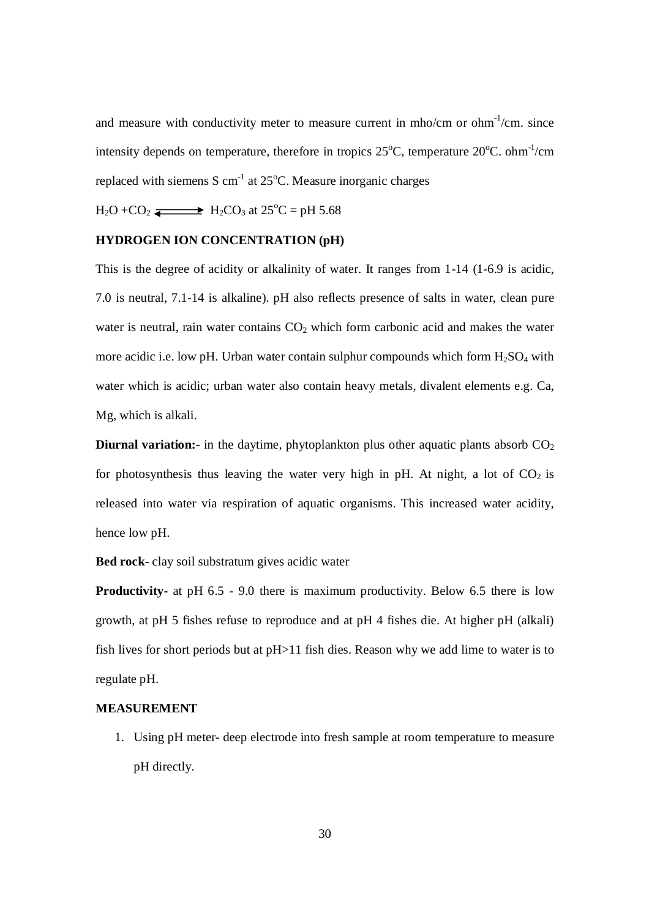and measure with conductivity meter to measure current in mho/cm or ohm $^{-1}$ /cm. since intensity depends on temperature, therefore in tropics  $25^{\circ}$ C, temperature  $20^{\circ}$ C. ohm<sup>-1</sup>/cm replaced with siemens S  $cm<sup>-1</sup>$  at 25 $°C$ . Measure inorganic charges

 $H_2O + CO_2 \longrightarrow H_2CO_3$  at  $25^{\circ}C = pH 5.68$ 

#### **HYDROGEN ION CONCENTRATION (pH)**

This is the degree of acidity or alkalinity of water. It ranges from 1-14 (1-6.9 is acidic, 7.0 is neutral, 7.1-14 is alkaline). pH also reflects presence of salts in water, clean pure water is neutral, rain water contains  $CO<sub>2</sub>$  which form carbonic acid and makes the water more acidic i.e. low pH. Urban water contain sulphur compounds which form  $H_2SO_4$  with water which is acidic; urban water also contain heavy metals, divalent elements e.g. Ca, Mg, which is alkali.

**Diurnal variation:-** in the daytime, phytoplankton plus other aquatic plants absorb CO<sub>2</sub> for photosynthesis thus leaving the water very high in pH. At night, a lot of  $CO<sub>2</sub>$  is released into water via respiration of aquatic organisms. This increased water acidity, hence low pH.

**Bed rock-** clay soil substratum gives acidic water

**Productivity-** at pH 6.5 - 9.0 there is maximum productivity. Below 6.5 there is low growth, at pH 5 fishes refuse to reproduce and at pH 4 fishes die. At higher pH (alkali) fish lives for short periods but at pH>11 fish dies. Reason why we add lime to water is to regulate pH.

#### **MEASUREMENT**

1. Using pH meter- deep electrode into fresh sample at room temperature to measure pH directly.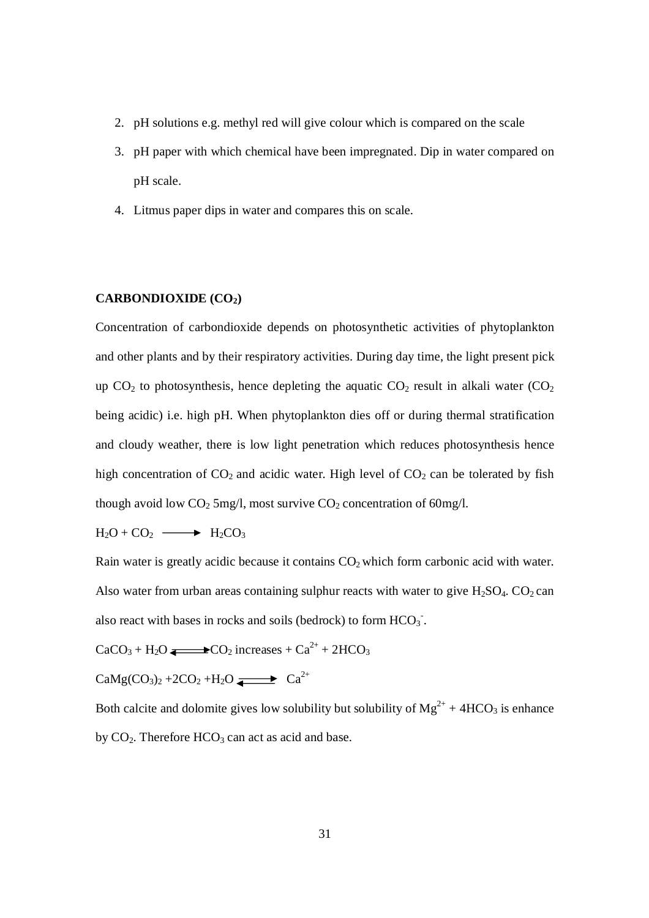- 2. pH solutions e.g. methyl red will give colour which is compared on the scale
- 3. pH paper with which chemical have been impregnated. Dip in water compared on pH scale.
- 4. Litmus paper dips in water and compares this on scale.

#### **CARBONDIOXIDE (CO2)**

Concentration of carbondioxide depends on photosynthetic activities of phytoplankton and other plants and by their respiratory activities. During day time, the light present pick up  $CO<sub>2</sub>$  to photosynthesis, hence depleting the aquatic  $CO<sub>2</sub>$  result in alkali water  $(CO<sub>2</sub>)$ being acidic) i.e. high pH. When phytoplankton dies off or during thermal stratification and cloudy weather, there is low light penetration which reduces photosynthesis hence high concentration of  $CO_2$  and acidic water. High level of  $CO_2$  can be tolerated by fish though avoid low  $CO<sub>2</sub>$  5mg/l, most survive  $CO<sub>2</sub>$  concentration of 60mg/l.

 $H_2O + CO_2 \longrightarrow H_2CO_3$ 

Rain water is greatly acidic because it contains  $CO<sub>2</sub>$  which form carbonic acid with water. Also water from urban areas containing sulphur reacts with water to give  $H_2SO_4$ .  $CO_2$  can also react with bases in rocks and soils (bedrock) to form  $HCO_3$ .

 $CaCO<sub>3</sub> + H<sub>2</sub>O$   $\longrightarrow$   $CO<sub>2</sub>$  increases +  $Ca<sup>2+</sup> + 2HCO<sub>3</sub>$ 

CaMg(CO<sub>3</sub>)<sub>2</sub> +2CO<sub>2</sub> +H<sub>2</sub>O  $\longrightarrow$  Ca<sup>2+</sup>

Both calcite and dolomite gives low solubility but solubility of  $Mg^{2+} + 4HCO_3$  is enhance by  $CO<sub>2</sub>$ . Therefore  $HCO<sub>3</sub>$  can act as acid and base.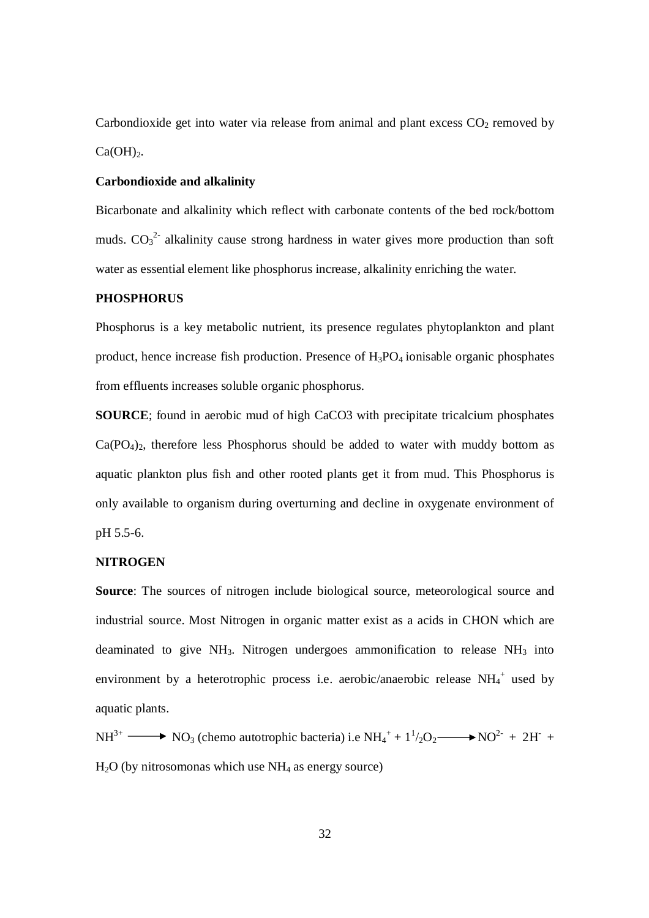Carbondioxide get into water via release from animal and plant excess  $CO<sub>2</sub>$  removed by  $Ca(OH)$ <sub>2</sub>.

#### **Carbondioxide and alkalinity**

Bicarbonate and alkalinity which reflect with carbonate contents of the bed rock/bottom muds.  $CO_3^2$  alkalinity cause strong hardness in water gives more production than soft water as essential element like phosphorus increase, alkalinity enriching the water.

#### **PHOSPHORUS**

Phosphorus is a key metabolic nutrient, its presence regulates phytoplankton and plant product, hence increase fish production. Presence of  $H_3PO_4$  ionisable organic phosphates from effluents increases soluble organic phosphorus.

**SOURCE**; found in aerobic mud of high CaCO3 with precipitate tricalcium phosphates  $Ca(PO<sub>4</sub>)<sub>2</sub>$ , therefore less Phosphorus should be added to water with muddy bottom as aquatic plankton plus fish and other rooted plants get it from mud. This Phosphorus is only available to organism during overturning and decline in oxygenate environment of pH 5.5-6.

#### **NITROGEN**

**Source:** The sources of nitrogen include biological source, meteorological source and industrial source. Most Nitrogen in organic matter exist as a acids in CHON which are deaminated to give  $NH_3$ . Nitrogen undergoes ammonification to release  $NH_3$  into environment by a heterotrophic process i.e. aerobic/anaerobic release  $NH_4^+$  used by aquatic plants.

 $NH^{3+}$  NO<sub>3</sub> (chemo autotrophic bacteria) i.e  $NH_4^+ + 1^1/2O_2$  NO<sup>2-</sup> + 2H<sup>-</sup> +  $H<sub>2</sub>O$  (by nitrosomonas which use  $NH<sub>4</sub>$  as energy source)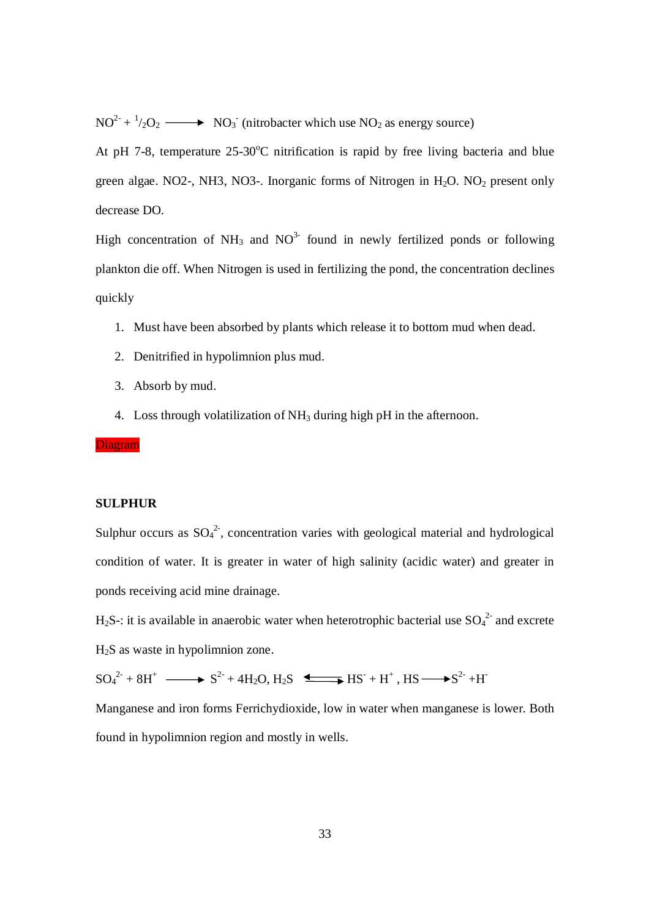$NO^{2+1}/_{2}O_{2} \longrightarrow NO_{3}$  (nitrobacter which use  $NO_{2}$  as energy source)

At pH 7-8, temperature  $25{\text -}30^{\circ}$ C nitrification is rapid by free living bacteria and blue green algae. NO2-, NH3, NO3-. Inorganic forms of Nitrogen in  $H<sub>2</sub>O$ . NO<sub>2</sub> present only decrease DO.

High concentration of NH<sub>3</sub> and NO<sup>3-</sup> found in newly fertilized ponds or following plankton die off. When Nitrogen is used in fertilizing the pond, the concentration declines quickly

- 1. Must have been absorbed by plants which release it to bottom mud when dead.
- 2. Denitrified in hypolimnion plus mud.
- 3. Absorb by mud.
- 4. Loss through volatilization of NH<sup>3</sup> during high pH in the afternoon.

Diagram

#### **SULPHUR**

Sulphur occurs as  $SO_4^2$ , concentration varies with geological material and hydrological condition of water. It is greater in water of high salinity (acidic water) and greater in ponds receiving acid mine drainage.

H<sub>2</sub>S-: it is available in anaerobic water when heterotrophic bacterial use  $SO_4^2$  and excrete H2S as waste in hypolimnion zone.

 $SO_4^2 + 8H^+ \longrightarrow S^2 + 4H_2O, H_2S \longrightarrow HS + H^+$ ,  $HS \longrightarrow S^2 + H^-$ 

Manganese and iron forms Ferrichydioxide, low in water when manganese is lower. Both found in hypolimnion region and mostly in wells.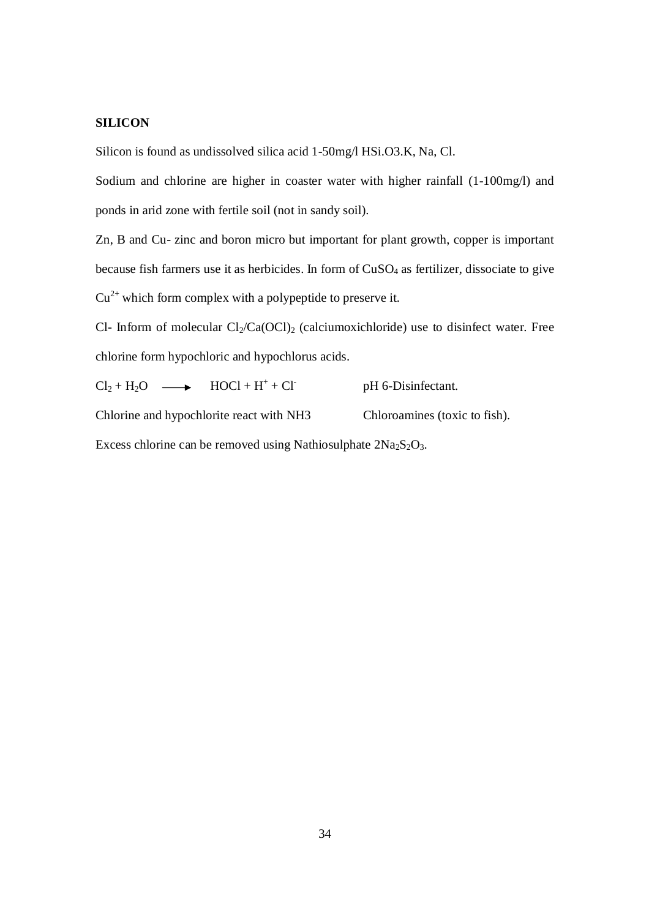#### **SILICON**

Silicon is found as undissolved silica acid 1-50mg/l HSi.O3.K, Na, Cl.

Sodium and chlorine are higher in coaster water with higher rainfall (1-100mg/l) and ponds in arid zone with fertile soil (not in sandy soil).

Zn, B and Cu- zinc and boron micro but important for plant growth, copper is important because fish farmers use it as herbicides. In form of  $CuSO<sub>4</sub>$  as fertilizer, dissociate to give  $Cu^{2+}$  which form complex with a polypeptide to preserve it.

Cl- Inform of molecular  $Cl_2/Ca(OCl)_2$  (calciumoxichloride) use to disinfect water. Free chlorine form hypochloric and hypochlorus acids.

 $Cl_2 + H_2O \longrightarrow HOCl + H^+ + Cl^$ pH 6-Disinfectant. Chlorine and hypochlorite react with NH3 Chloroamines (toxic to fish). Excess chlorine can be removed using Nathiosulphate  $2Na<sub>2</sub>S<sub>2</sub>O<sub>3</sub>$ .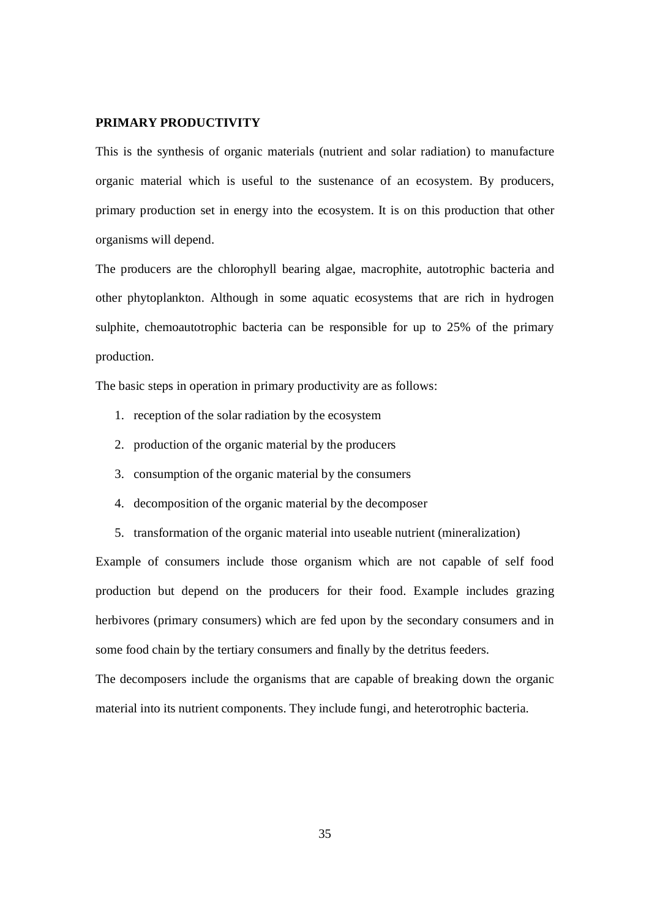#### **PRIMARY PRODUCTIVITY**

This is the synthesis of organic materials (nutrient and solar radiation) to manufacture organic material which is useful to the sustenance of an ecosystem. By producers, primary production set in energy into the ecosystem. It is on this production that other organisms will depend.

The producers are the chlorophyll bearing algae, macrophite, autotrophic bacteria and other phytoplankton. Although in some aquatic ecosystems that are rich in hydrogen sulphite, chemoautotrophic bacteria can be responsible for up to 25% of the primary production.

The basic steps in operation in primary productivity are as follows:

- 1. reception of the solar radiation by the ecosystem
- 2. production of the organic material by the producers
- 3. consumption of the organic material by the consumers
- 4. decomposition of the organic material by the decomposer
- 5. transformation of the organic material into useable nutrient (mineralization)

Example of consumers include those organism which are not capable of self food production but depend on the producers for their food. Example includes grazing herbivores (primary consumers) which are fed upon by the secondary consumers and in some food chain by the tertiary consumers and finally by the detritus feeders.

The decomposers include the organisms that are capable of breaking down the organic material into its nutrient components. They include fungi, and heterotrophic bacteria.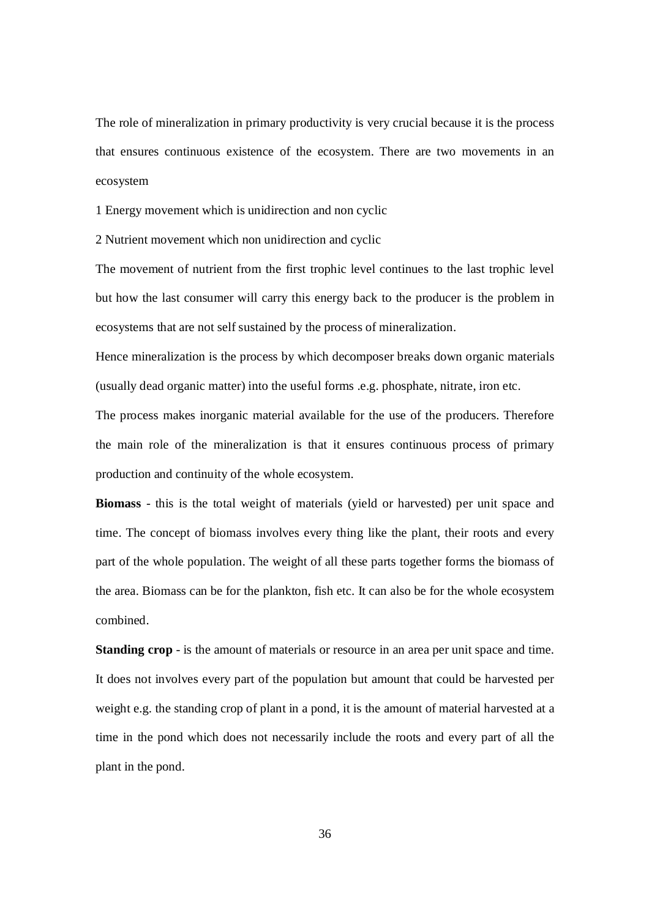The role of mineralization in primary productivity is very crucial because it is the process that ensures continuous existence of the ecosystem. There are two movements in an ecosystem

1 Energy movement which is unidirection and non cyclic

2 Nutrient movement which non unidirection and cyclic

The movement of nutrient from the first trophic level continues to the last trophic level but how the last consumer will carry this energy back to the producer is the problem in ecosystems that are not self sustained by the process of mineralization.

Hence mineralization is the process by which decomposer breaks down organic materials (usually dead organic matter) into the useful forms .e.g. phosphate, nitrate, iron etc.

The process makes inorganic material available for the use of the producers. Therefore the main role of the mineralization is that it ensures continuous process of primary production and continuity of the whole ecosystem.

**Biomass** - this is the total weight of materials (yield or harvested) per unit space and time. The concept of biomass involves every thing like the plant, their roots and every part of the whole population. The weight of all these parts together forms the biomass of the area. Biomass can be for the plankton, fish etc. It can also be for the whole ecosystem combined.

**Standing crop** - is the amount of materials or resource in an area per unit space and time. It does not involves every part of the population but amount that could be harvested per weight e.g. the standing crop of plant in a pond, it is the amount of material harvested at a time in the pond which does not necessarily include the roots and every part of all the plant in the pond.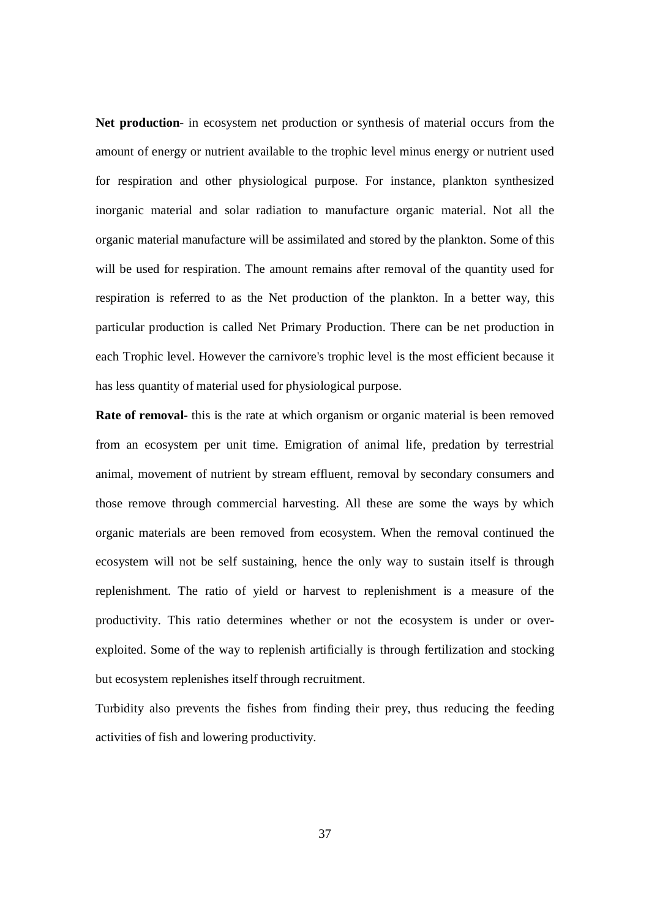**Net production**- in ecosystem net production or synthesis of material occurs from the amount of energy or nutrient available to the trophic level minus energy or nutrient used for respiration and other physiological purpose. For instance, plankton synthesized inorganic material and solar radiation to manufacture organic material. Not all the organic material manufacture will be assimilated and stored by the plankton. Some of this will be used for respiration. The amount remains after removal of the quantity used for respiration is referred to as the Net production of the plankton. In a better way, this particular production is called Net Primary Production. There can be net production in each Trophic level. However the carnivore's trophic level is the most efficient because it has less quantity of material used for physiological purpose.

**Rate of removal**- this is the rate at which organism or organic material is been removed from an ecosystem per unit time. Emigration of animal life, predation by terrestrial animal, movement of nutrient by stream effluent, removal by secondary consumers and those remove through commercial harvesting. All these are some the ways by which organic materials are been removed from ecosystem. When the removal continued the ecosystem will not be self sustaining, hence the only way to sustain itself is through replenishment. The ratio of yield or harvest to replenishment is a measure of the productivity. This ratio determines whether or not the ecosystem is under or overexploited. Some of the way to replenish artificially is through fertilization and stocking but ecosystem replenishes itself through recruitment.

Turbidity also prevents the fishes from finding their prey, thus reducing the feeding activities of fish and lowering productivity.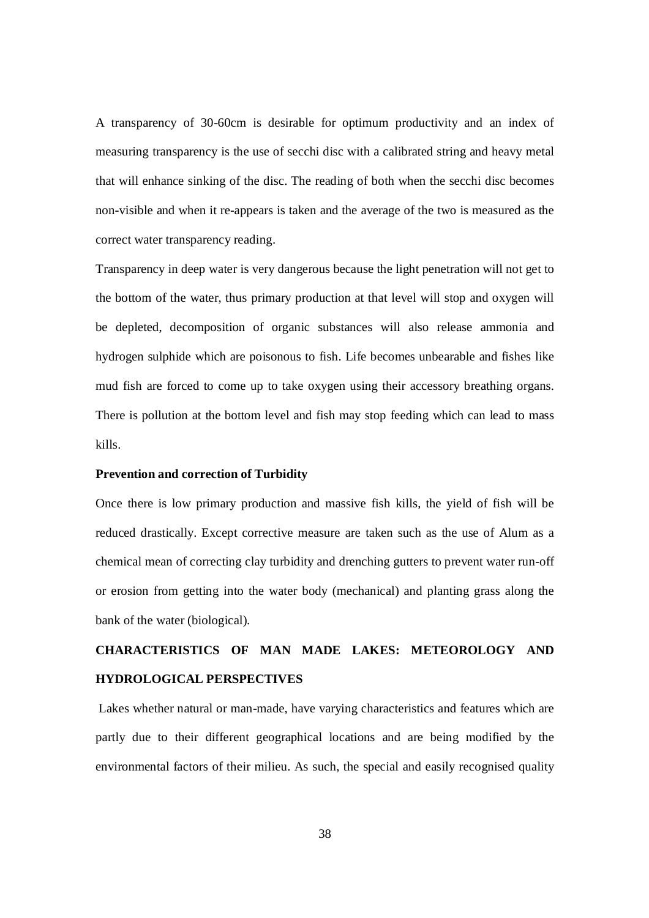A transparency of 30-60cm is desirable for optimum productivity and an index of measuring transparency is the use of secchi disc with a calibrated string and heavy metal that will enhance sinking of the disc. The reading of both when the secchi disc becomes non-visible and when it re-appears is taken and the average of the two is measured as the correct water transparency reading.

Transparency in deep water is very dangerous because the light penetration will not get to the bottom of the water, thus primary production at that level will stop and oxygen will be depleted, decomposition of organic substances will also release ammonia and hydrogen sulphide which are poisonous to fish. Life becomes unbearable and fishes like mud fish are forced to come up to take oxygen using their accessory breathing organs. There is pollution at the bottom level and fish may stop feeding which can lead to mass kills.

#### **Prevention and correction of Turbidity**

Once there is low primary production and massive fish kills, the yield of fish will be reduced drastically. Except corrective measure are taken such as the use of Alum as a chemical mean of correcting clay turbidity and drenching gutters to prevent water run-off or erosion from getting into the water body (mechanical) and planting grass along the bank of the water (biological).

## **CHARACTERISTICS OF MAN MADE LAKES: METEOROLOGY AND HYDROLOGICAL PERSPECTIVES**

Lakes whether natural or man-made, have varying characteristics and features which are partly due to their different geographical locations and are being modified by the environmental factors of their milieu. As such, the special and easily recognised quality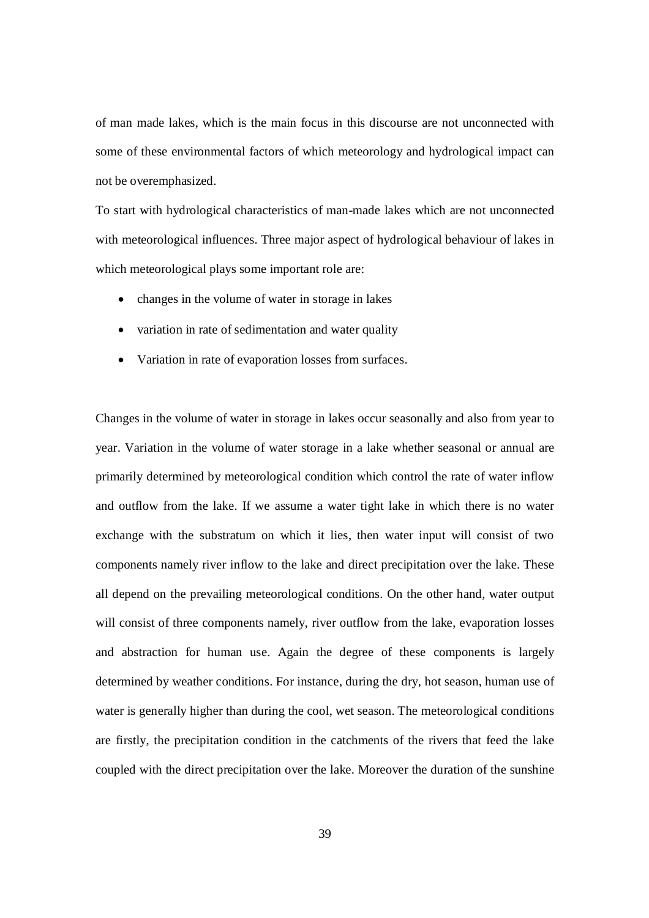of man made lakes, which is the main focus in this discourse are not unconnected with some of these environmental factors of which meteorology and hydrological impact can not be overemphasized.

To start with hydrological characteristics of man-made lakes which are not unconnected with meteorological influences. Three major aspect of hydrological behaviour of lakes in which meteorological plays some important role are:

- changes in the volume of water in storage in lakes
- variation in rate of sedimentation and water quality
- Variation in rate of evaporation losses from surfaces.

Changes in the volume of water in storage in lakes occur seasonally and also from year to year. Variation in the volume of water storage in a lake whether seasonal or annual are primarily determined by meteorological condition which control the rate of water inflow and outflow from the lake. If we assume a water tight lake in which there is no water exchange with the substratum on which it lies, then water input will consist of two components namely river inflow to the lake and direct precipitation over the lake. These all depend on the prevailing meteorological conditions. On the other hand, water output will consist of three components namely, river outflow from the lake, evaporation losses and abstraction for human use. Again the degree of these components is largely determined by weather conditions. For instance, during the dry, hot season, human use of water is generally higher than during the cool, wet season. The meteorological conditions are firstly, the precipitation condition in the catchments of the rivers that feed the lake coupled with the direct precipitation over the lake. Moreover the duration of the sunshine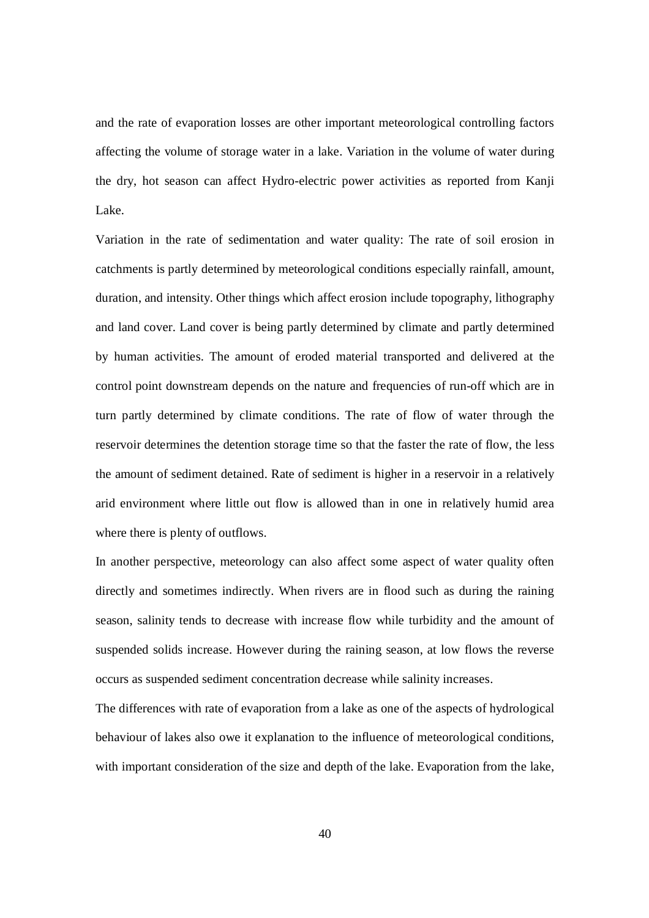and the rate of evaporation losses are other important meteorological controlling factors affecting the volume of storage water in a lake. Variation in the volume of water during the dry, hot season can affect Hydro-electric power activities as reported from Kanji Lake.

Variation in the rate of sedimentation and water quality: The rate of soil erosion in catchments is partly determined by meteorological conditions especially rainfall, amount, duration, and intensity. Other things which affect erosion include topography, lithography and land cover. Land cover is being partly determined by climate and partly determined by human activities. The amount of eroded material transported and delivered at the control point downstream depends on the nature and frequencies of run-off which are in turn partly determined by climate conditions. The rate of flow of water through the reservoir determines the detention storage time so that the faster the rate of flow, the less the amount of sediment detained. Rate of sediment is higher in a reservoir in a relatively arid environment where little out flow is allowed than in one in relatively humid area where there is plenty of outflows.

In another perspective, meteorology can also affect some aspect of water quality often directly and sometimes indirectly. When rivers are in flood such as during the raining season, salinity tends to decrease with increase flow while turbidity and the amount of suspended solids increase. However during the raining season, at low flows the reverse occurs as suspended sediment concentration decrease while salinity increases.

The differences with rate of evaporation from a lake as one of the aspects of hydrological behaviour of lakes also owe it explanation to the influence of meteorological conditions, with important consideration of the size and depth of the lake. Evaporation from the lake,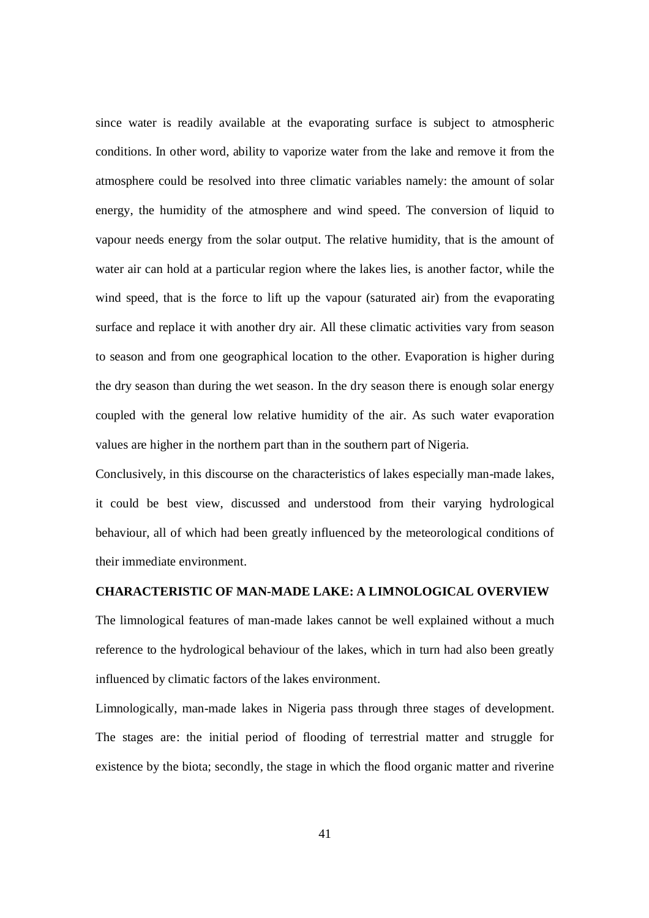since water is readily available at the evaporating surface is subject to atmospheric conditions. In other word, ability to vaporize water from the lake and remove it from the atmosphere could be resolved into three climatic variables namely: the amount of solar energy, the humidity of the atmosphere and wind speed. The conversion of liquid to vapour needs energy from the solar output. The relative humidity, that is the amount of water air can hold at a particular region where the lakes lies, is another factor, while the wind speed, that is the force to lift up the vapour (saturated air) from the evaporating surface and replace it with another dry air. All these climatic activities vary from season to season and from one geographical location to the other. Evaporation is higher during the dry season than during the wet season. In the dry season there is enough solar energy coupled with the general low relative humidity of the air. As such water evaporation values are higher in the northern part than in the southern part of Nigeria.

Conclusively, in this discourse on the characteristics of lakes especially man-made lakes, it could be best view, discussed and understood from their varying hydrological behaviour, all of which had been greatly influenced by the meteorological conditions of their immediate environment.

#### **CHARACTERISTIC OF MAN-MADE LAKE: A LIMNOLOGICAL OVERVIEW**

The limnological features of man-made lakes cannot be well explained without a much reference to the hydrological behaviour of the lakes, which in turn had also been greatly influenced by climatic factors of the lakes environment.

Limnologically, man-made lakes in Nigeria pass through three stages of development. The stages are: the initial period of flooding of terrestrial matter and struggle for existence by the biota; secondly, the stage in which the flood organic matter and riverine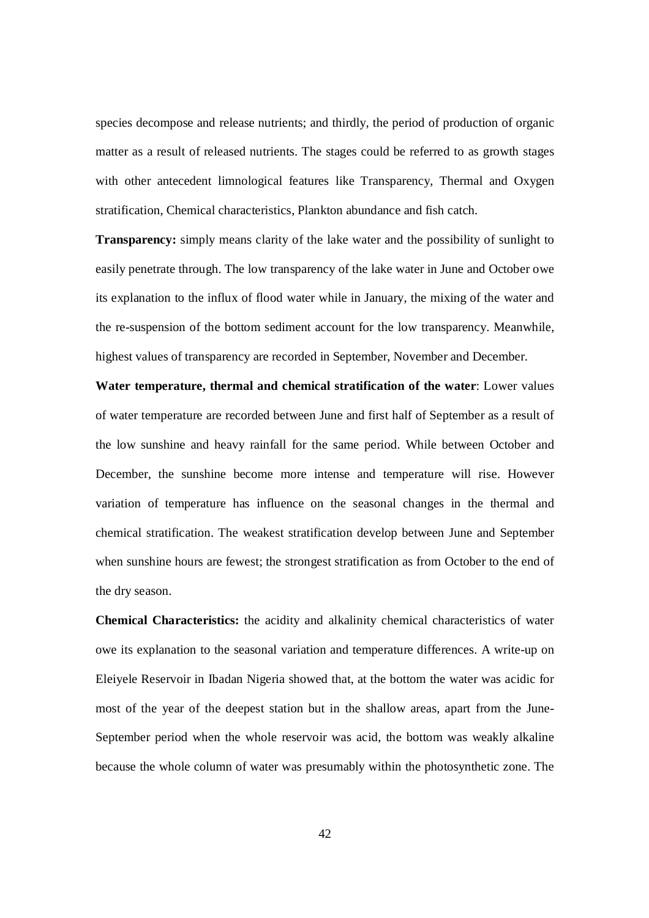species decompose and release nutrients; and thirdly, the period of production of organic matter as a result of released nutrients. The stages could be referred to as growth stages with other antecedent limnological features like Transparency, Thermal and Oxygen stratification, Chemical characteristics, Plankton abundance and fish catch.

**Transparency:** simply means clarity of the lake water and the possibility of sunlight to easily penetrate through. The low transparency of the lake water in June and October owe its explanation to the influx of flood water while in January, the mixing of the water and the re-suspension of the bottom sediment account for the low transparency. Meanwhile, highest values of transparency are recorded in September, November and December.

**Water temperature, thermal and chemical stratification of the water**: Lower values of water temperature are recorded between June and first half of September as a result of the low sunshine and heavy rainfall for the same period. While between October and December, the sunshine become more intense and temperature will rise. However variation of temperature has influence on the seasonal changes in the thermal and chemical stratification. The weakest stratification develop between June and September when sunshine hours are fewest; the strongest stratification as from October to the end of the dry season.

**Chemical Characteristics:** the acidity and alkalinity chemical characteristics of water owe its explanation to the seasonal variation and temperature differences. A write-up on Eleiyele Reservoir in Ibadan Nigeria showed that, at the bottom the water was acidic for most of the year of the deepest station but in the shallow areas, apart from the June-September period when the whole reservoir was acid, the bottom was weakly alkaline because the whole column of water was presumably within the photosynthetic zone. The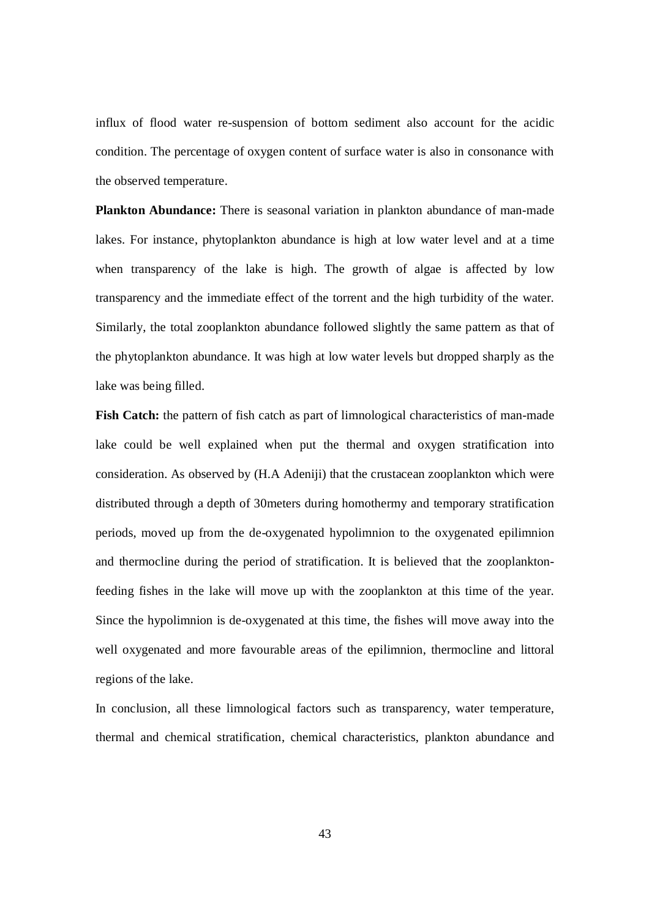influx of flood water re-suspension of bottom sediment also account for the acidic condition. The percentage of oxygen content of surface water is also in consonance with the observed temperature.

**Plankton Abundance:** There is seasonal variation in plankton abundance of man-made lakes. For instance, phytoplankton abundance is high at low water level and at a time when transparency of the lake is high. The growth of algae is affected by low transparency and the immediate effect of the torrent and the high turbidity of the water. Similarly, the total zooplankton abundance followed slightly the same pattern as that of the phytoplankton abundance. It was high at low water levels but dropped sharply as the lake was being filled.

**Fish Catch:** the pattern of fish catch as part of limnological characteristics of man-made lake could be well explained when put the thermal and oxygen stratification into consideration. As observed by (H.A Adeniji) that the crustacean zooplankton which were distributed through a depth of 30meters during homothermy and temporary stratification periods, moved up from the de-oxygenated hypolimnion to the oxygenated epilimnion and thermocline during the period of stratification. It is believed that the zooplanktonfeeding fishes in the lake will move up with the zooplankton at this time of the year. Since the hypolimnion is de-oxygenated at this time, the fishes will move away into the well oxygenated and more favourable areas of the epilimnion, thermocline and littoral regions of the lake.

In conclusion, all these limnological factors such as transparency, water temperature, thermal and chemical stratification, chemical characteristics, plankton abundance and